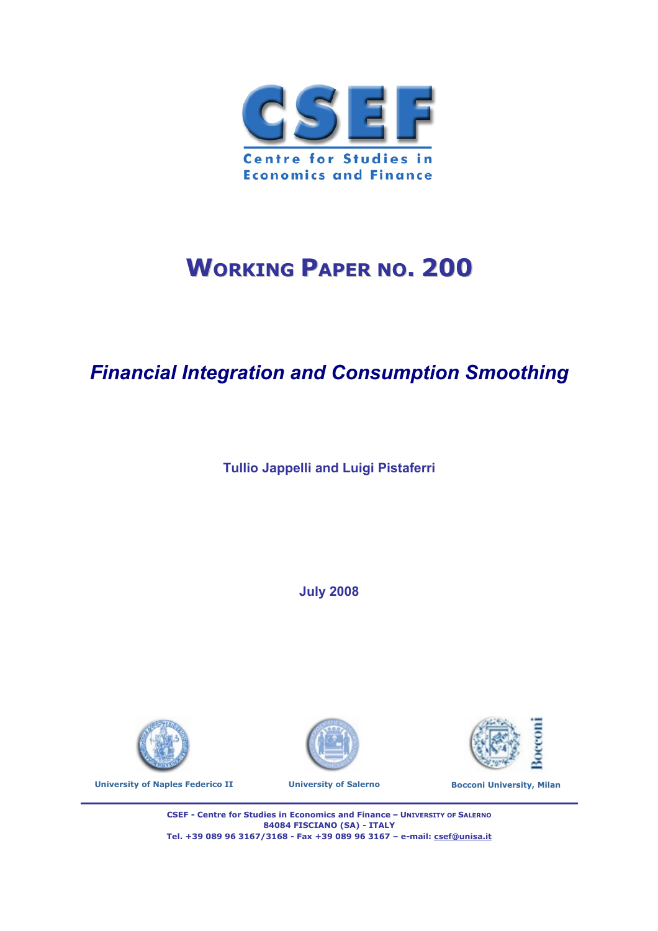

# **WORKING PAPER NO. 200**

# *Financial Integration and Consumption Smoothing*

**Tullio Jappelli and Luigi Pistaferri**

**July 2008** 









soccon

**CSEF - Centre for Studies in Economics and Finance – UNIVERSITY OF SALERNO 84084 FISCIANO (SA) - ITALY Tel. +39 089 96 3167/3168 - Fax +39 089 96 3167 – e-mail: csef@unisa.it**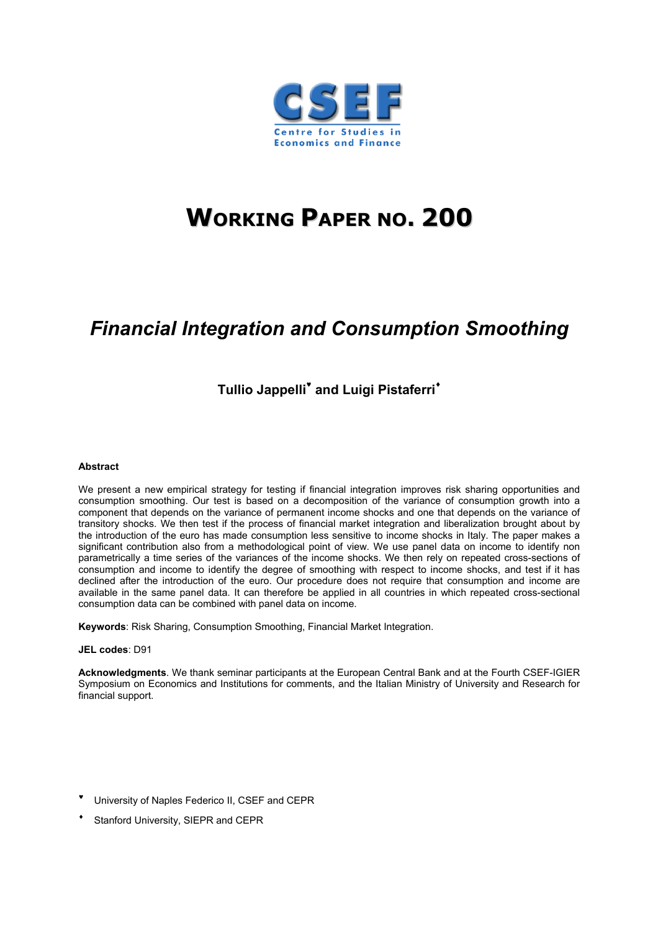

# **WORKING PAPER NO. 200**

# *Financial Integration and Consumption Smoothing*

# **Tullio Jappelli and Luigi Pistaferri**

#### **Abstract**

We present a new empirical strategy for testing if financial integration improves risk sharing opportunities and consumption smoothing. Our test is based on a decomposition of the variance of consumption growth into a component that depends on the variance of permanent income shocks and one that depends on the variance of transitory shocks. We then test if the process of financial market integration and liberalization brought about by the introduction of the euro has made consumption less sensitive to income shocks in Italy. The paper makes a significant contribution also from a methodological point of view. We use panel data on income to identify non parametrically a time series of the variances of the income shocks. We then rely on repeated cross-sections of consumption and income to identify the degree of smoothing with respect to income shocks, and test if it has declined after the introduction of the euro. Our procedure does not require that consumption and income are available in the same panel data. It can therefore be applied in all countries in which repeated cross-sectional consumption data can be combined with panel data on income.

**Keywords**: Risk Sharing, Consumption Smoothing, Financial Market Integration.

#### **JEL codes**: D91

**Acknowledgments**. We thank seminar participants at the European Central Bank and at the Fourth CSEF-IGIER Symposium on Economics and Institutions for comments, and the Italian Ministry of University and Research for financial support.

- University of Naples Federico II, CSEF and CEPR
- Stanford University, SIEPR and CEPR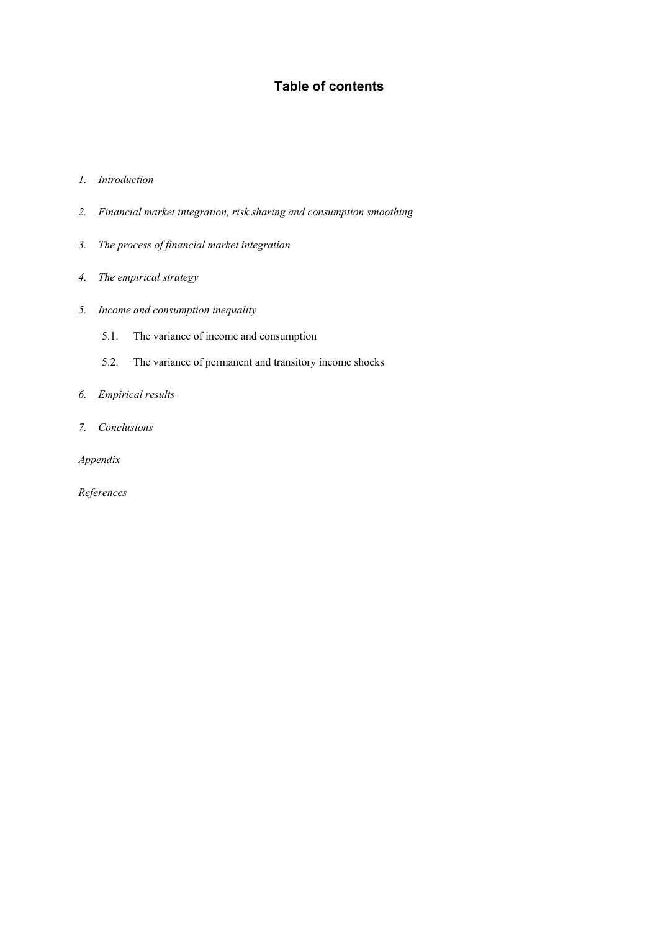# **Table of contents**

#### *1. Introduction*

- *2. Financial market integration, risk sharing and consumption smoothing*
- *3. The process of financial market integration*
- *4. The empirical strategy*
- *5. Income and consumption inequality* 
	- 5.1. The variance of income and consumption
	- 5.2. The variance of permanent and transitory income shocks
- *6. Empirical results*
- *7. Conclusions*

*Appendix* 

*References*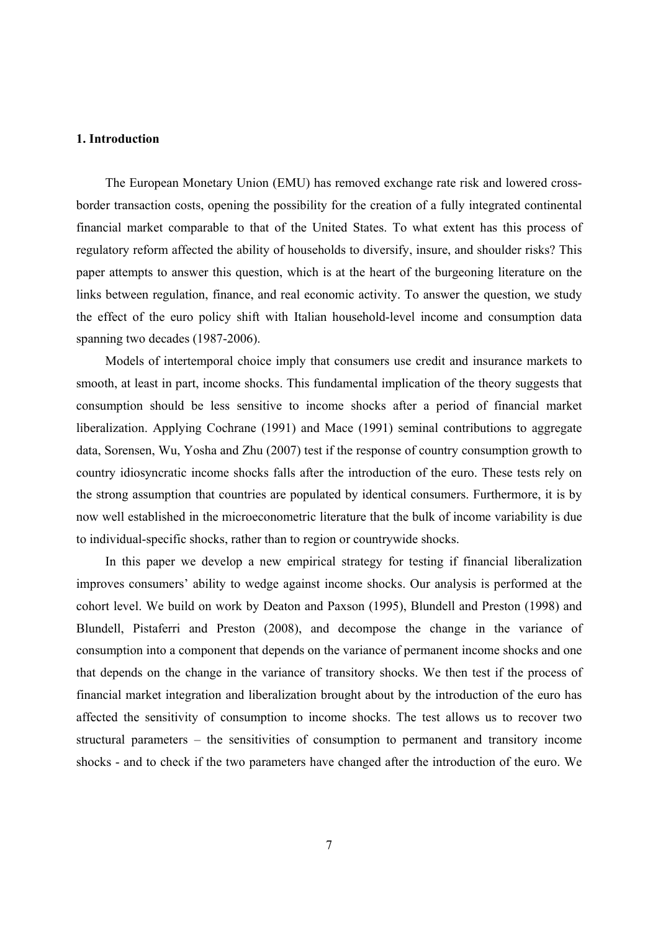#### **1. Introduction**

The European Monetary Union (EMU) has removed exchange rate risk and lowered crossborder transaction costs, opening the possibility for the creation of a fully integrated continental financial market comparable to that of the United States. To what extent has this process of regulatory reform affected the ability of households to diversify, insure, and shoulder risks? This paper attempts to answer this question, which is at the heart of the burgeoning literature on the links between regulation, finance, and real economic activity. To answer the question, we study the effect of the euro policy shift with Italian household-level income and consumption data spanning two decades (1987-2006).

Models of intertemporal choice imply that consumers use credit and insurance markets to smooth, at least in part, income shocks. This fundamental implication of the theory suggests that consumption should be less sensitive to income shocks after a period of financial market liberalization. Applying Cochrane (1991) and Mace (1991) seminal contributions to aggregate data, Sorensen, Wu, Yosha and Zhu (2007) test if the response of country consumption growth to country idiosyncratic income shocks falls after the introduction of the euro. These tests rely on the strong assumption that countries are populated by identical consumers. Furthermore, it is by now well established in the microeconometric literature that the bulk of income variability is due to individual-specific shocks, rather than to region or countrywide shocks.

In this paper we develop a new empirical strategy for testing if financial liberalization improves consumers' ability to wedge against income shocks. Our analysis is performed at the cohort level. We build on work by Deaton and Paxson (1995), Blundell and Preston (1998) and Blundell, Pistaferri and Preston (2008), and decompose the change in the variance of consumption into a component that depends on the variance of permanent income shocks and one that depends on the change in the variance of transitory shocks. We then test if the process of financial market integration and liberalization brought about by the introduction of the euro has affected the sensitivity of consumption to income shocks. The test allows us to recover two structural parameters – the sensitivities of consumption to permanent and transitory income shocks - and to check if the two parameters have changed after the introduction of the euro. We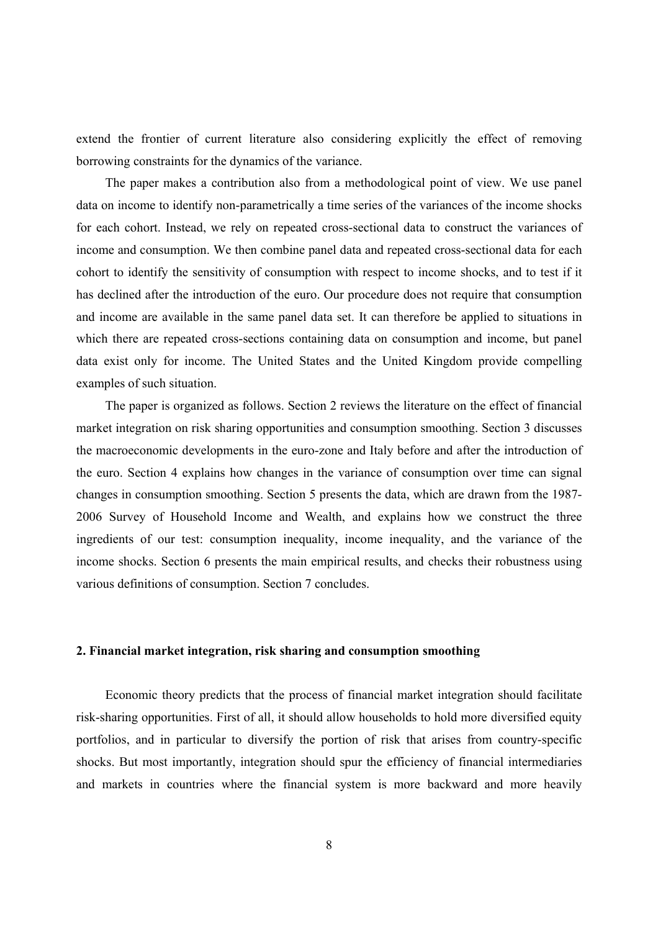extend the frontier of current literature also considering explicitly the effect of removing borrowing constraints for the dynamics of the variance.

The paper makes a contribution also from a methodological point of view. We use panel data on income to identify non-parametrically a time series of the variances of the income shocks for each cohort. Instead, we rely on repeated cross-sectional data to construct the variances of income and consumption. We then combine panel data and repeated cross-sectional data for each cohort to identify the sensitivity of consumption with respect to income shocks, and to test if it has declined after the introduction of the euro. Our procedure does not require that consumption and income are available in the same panel data set. It can therefore be applied to situations in which there are repeated cross-sections containing data on consumption and income, but panel data exist only for income. The United States and the United Kingdom provide compelling examples of such situation.

The paper is organized as follows. Section 2 reviews the literature on the effect of financial market integration on risk sharing opportunities and consumption smoothing. Section 3 discusses the macroeconomic developments in the euro-zone and Italy before and after the introduction of the euro. Section 4 explains how changes in the variance of consumption over time can signal changes in consumption smoothing. Section 5 presents the data, which are drawn from the 1987- 2006 Survey of Household Income and Wealth, and explains how we construct the three ingredients of our test: consumption inequality, income inequality, and the variance of the income shocks. Section 6 presents the main empirical results, and checks their robustness using various definitions of consumption. Section 7 concludes.

# **2. Financial market integration, risk sharing and consumption smoothing**

Economic theory predicts that the process of financial market integration should facilitate risk-sharing opportunities. First of all, it should allow households to hold more diversified equity portfolios, and in particular to diversify the portion of risk that arises from country-specific shocks. But most importantly, integration should spur the efficiency of financial intermediaries and markets in countries where the financial system is more backward and more heavily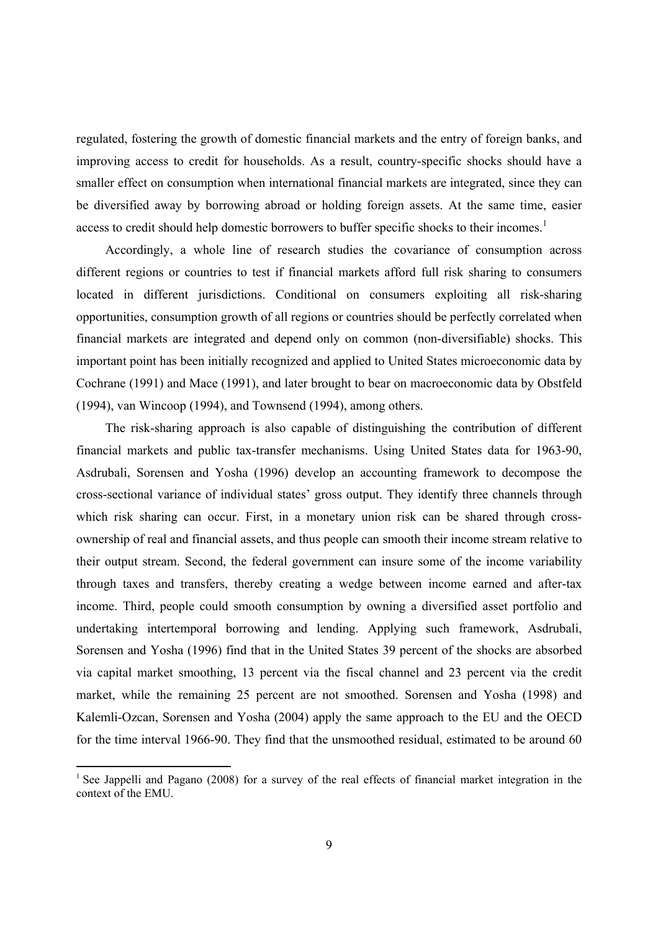regulated, fostering the growth of domestic financial markets and the entry of foreign banks, and improving access to credit for households. As a result, country-specific shocks should have a smaller effect on consumption when international financial markets are integrated, since they can be diversified away by borrowing abroad or holding foreign assets. At the same time, easier access to credit should help domestic borrowers to buffer specific shocks to their incomes.<sup>1</sup>

Accordingly, a whole line of research studies the covariance of consumption across different regions or countries to test if financial markets afford full risk sharing to consumers located in different jurisdictions. Conditional on consumers exploiting all risk-sharing opportunities, consumption growth of all regions or countries should be perfectly correlated when financial markets are integrated and depend only on common (non-diversifiable) shocks. This important point has been initially recognized and applied to United States microeconomic data by Cochrane (1991) and Mace (1991), and later brought to bear on macroeconomic data by Obstfeld (1994), van Wincoop (1994), and Townsend (1994), among others.

The risk-sharing approach is also capable of distinguishing the contribution of different financial markets and public tax-transfer mechanisms. Using United States data for 1963-90, Asdrubali, Sorensen and Yosha (1996) develop an accounting framework to decompose the cross-sectional variance of individual states' gross output. They identify three channels through which risk sharing can occur. First, in a monetary union risk can be shared through crossownership of real and financial assets, and thus people can smooth their income stream relative to their output stream. Second, the federal government can insure some of the income variability through taxes and transfers, thereby creating a wedge between income earned and after-tax income. Third, people could smooth consumption by owning a diversified asset portfolio and undertaking intertemporal borrowing and lending. Applying such framework, Asdrubali, Sorensen and Yosha (1996) find that in the United States 39 percent of the shocks are absorbed via capital market smoothing, 13 percent via the fiscal channel and 23 percent via the credit market, while the remaining 25 percent are not smoothed. Sorensen and Yosha (1998) and Kalemli-Ozcan, Sorensen and Yosha (2004) apply the same approach to the EU and the OECD for the time interval 1966-90. They find that the unsmoothed residual, estimated to be around 60

<sup>&</sup>lt;sup>1</sup> See Jappelli and Pagano (2008) for a survey of the real effects of financial market integration in the context of the EMU.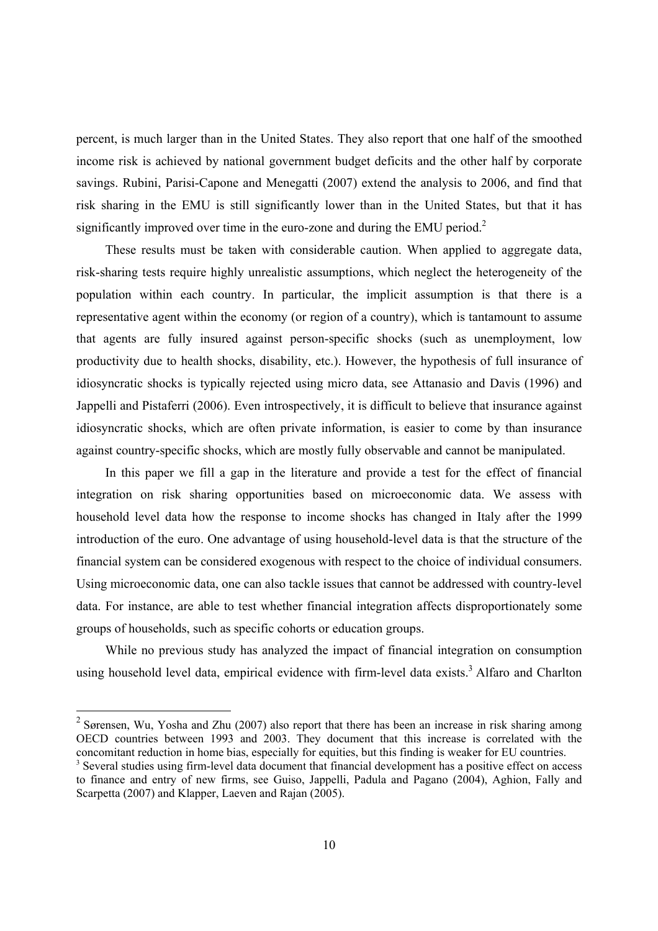percent, is much larger than in the United States. They also report that one half of the smoothed income risk is achieved by national government budget deficits and the other half by corporate savings. Rubini, Parisi-Capone and Menegatti (2007) extend the analysis to 2006, and find that risk sharing in the EMU is still significantly lower than in the United States, but that it has significantly improved over time in the euro-zone and during the EMU period.<sup>2</sup>

These results must be taken with considerable caution. When applied to aggregate data, risk-sharing tests require highly unrealistic assumptions, which neglect the heterogeneity of the population within each country. In particular, the implicit assumption is that there is a representative agent within the economy (or region of a country), which is tantamount to assume that agents are fully insured against person-specific shocks (such as unemployment, low productivity due to health shocks, disability, etc.). However, the hypothesis of full insurance of idiosyncratic shocks is typically rejected using micro data, see Attanasio and Davis (1996) and Jappelli and Pistaferri (2006). Even introspectively, it is difficult to believe that insurance against idiosyncratic shocks, which are often private information, is easier to come by than insurance against country-specific shocks, which are mostly fully observable and cannot be manipulated.

In this paper we fill a gap in the literature and provide a test for the effect of financial integration on risk sharing opportunities based on microeconomic data. We assess with household level data how the response to income shocks has changed in Italy after the 1999 introduction of the euro. One advantage of using household-level data is that the structure of the financial system can be considered exogenous with respect to the choice of individual consumers. Using microeconomic data, one can also tackle issues that cannot be addressed with country-level data. For instance, are able to test whether financial integration affects disproportionately some groups of households, such as specific cohorts or education groups.

While no previous study has analyzed the impact of financial integration on consumption using household level data, empirical evidence with firm-level data exists.<sup>3</sup> Alfaro and Charlton

<sup>&</sup>lt;sup>2</sup> Sørensen, Wu, Yosha and Zhu (2007) also report that there has been an increase in risk sharing among OECD countries between 1993 and 2003. They document that this increase is correlated with the concomitant reduction in home bias, especially for equities, but this finding is weaker for EU countries.

<sup>&</sup>lt;sup>3</sup> Several studies using firm-level data document that financial development has a positive effect on access to finance and entry of new firms, see Guiso, Jappelli, Padula and Pagano (2004), Aghion, Fally and Scarpetta (2007) and Klapper, Laeven and Rajan (2005).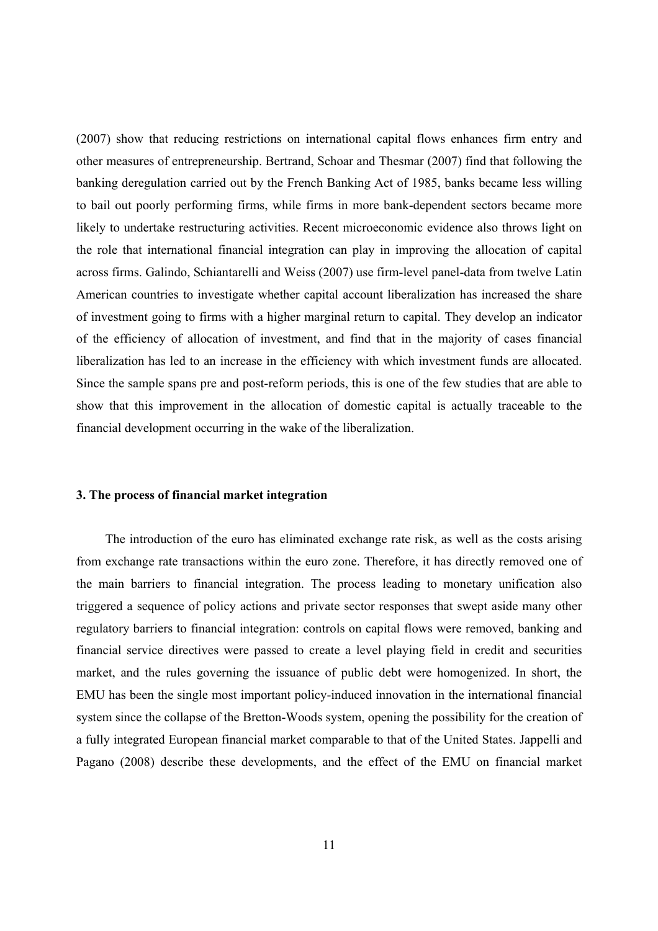(2007) show that reducing restrictions on international capital flows enhances firm entry and other measures of entrepreneurship. Bertrand, Schoar and Thesmar (2007) find that following the banking deregulation carried out by the French Banking Act of 1985, banks became less willing to bail out poorly performing firms, while firms in more bank-dependent sectors became more likely to undertake restructuring activities. Recent microeconomic evidence also throws light on the role that international financial integration can play in improving the allocation of capital across firms. Galindo, Schiantarelli and Weiss (2007) use firm-level panel-data from twelve Latin American countries to investigate whether capital account liberalization has increased the share of investment going to firms with a higher marginal return to capital. They develop an indicator of the efficiency of allocation of investment, and find that in the majority of cases financial liberalization has led to an increase in the efficiency with which investment funds are allocated. Since the sample spans pre and post-reform periods, this is one of the few studies that are able to show that this improvement in the allocation of domestic capital is actually traceable to the financial development occurring in the wake of the liberalization.

# **3. The process of financial market integration**

The introduction of the euro has eliminated exchange rate risk, as well as the costs arising from exchange rate transactions within the euro zone. Therefore, it has directly removed one of the main barriers to financial integration. The process leading to monetary unification also triggered a sequence of policy actions and private sector responses that swept aside many other regulatory barriers to financial integration: controls on capital flows were removed, banking and financial service directives were passed to create a level playing field in credit and securities market, and the rules governing the issuance of public debt were homogenized. In short, the EMU has been the single most important policy-induced innovation in the international financial system since the collapse of the Bretton-Woods system, opening the possibility for the creation of a fully integrated European financial market comparable to that of the United States. Jappelli and Pagano (2008) describe these developments, and the effect of the EMU on financial market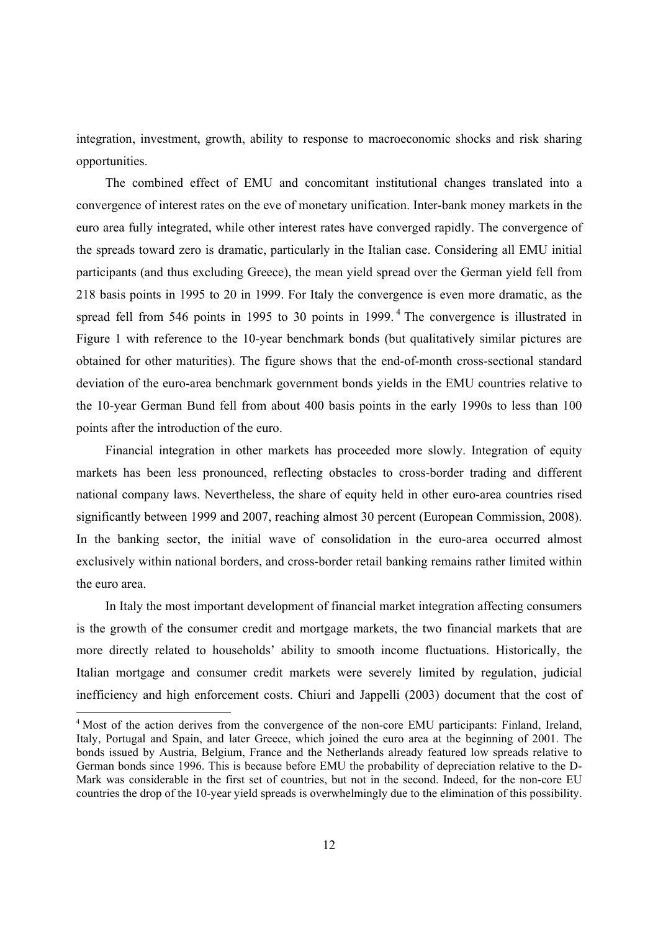integration, investment, growth, ability to response to macroeconomic shocks and risk sharing opportunities.

The combined effect of EMU and concomitant institutional changes translated into a convergence of interest rates on the eve of monetary unification. Inter-bank money markets in the euro area fully integrated, while other interest rates have converged rapidly. The convergence of the spreads toward zero is dramatic, particularly in the Italian case. Considering all EMU initial participants (and thus excluding Greece), the mean yield spread over the German yield fell from 218 basis points in 1995 to 20 in 1999. For Italy the convergence is even more dramatic, as the spread fell from 546 points in 1995 to 30 points in 1999.<sup>4</sup> The convergence is illustrated in Figure 1 with reference to the 10-year benchmark bonds (but qualitatively similar pictures are obtained for other maturities). The figure shows that the end-of-month cross-sectional standard deviation of the euro-area benchmark government bonds yields in the EMU countries relative to the 10-year German Bund fell from about 400 basis points in the early 1990s to less than 100 points after the introduction of the euro.

Financial integration in other markets has proceeded more slowly. Integration of equity markets has been less pronounced, reflecting obstacles to cross-border trading and different national company laws. Nevertheless, the share of equity held in other euro-area countries rised significantly between 1999 and 2007, reaching almost 30 percent (European Commission, 2008). In the banking sector, the initial wave of consolidation in the euro-area occurred almost exclusively within national borders, and cross-border retail banking remains rather limited within the euro area.

In Italy the most important development of financial market integration affecting consumers is the growth of the consumer credit and mortgage markets, the two financial markets that are more directly related to households' ability to smooth income fluctuations. Historically, the Italian mortgage and consumer credit markets were severely limited by regulation, judicial inefficiency and high enforcement costs. Chiuri and Jappelli (2003) document that the cost of

<sup>&</sup>lt;sup>4</sup> Most of the action derives from the convergence of the non-core EMU participants: Finland, Ireland, Italy, Portugal and Spain, and later Greece, which joined the euro area at the beginning of 2001. The bonds issued by Austria, Belgium, France and the Netherlands already featured low spreads relative to German bonds since 1996. This is because before EMU the probability of depreciation relative to the D-Mark was considerable in the first set of countries, but not in the second. Indeed, for the non-core EU countries the drop of the 10-year yield spreads is overwhelmingly due to the elimination of this possibility.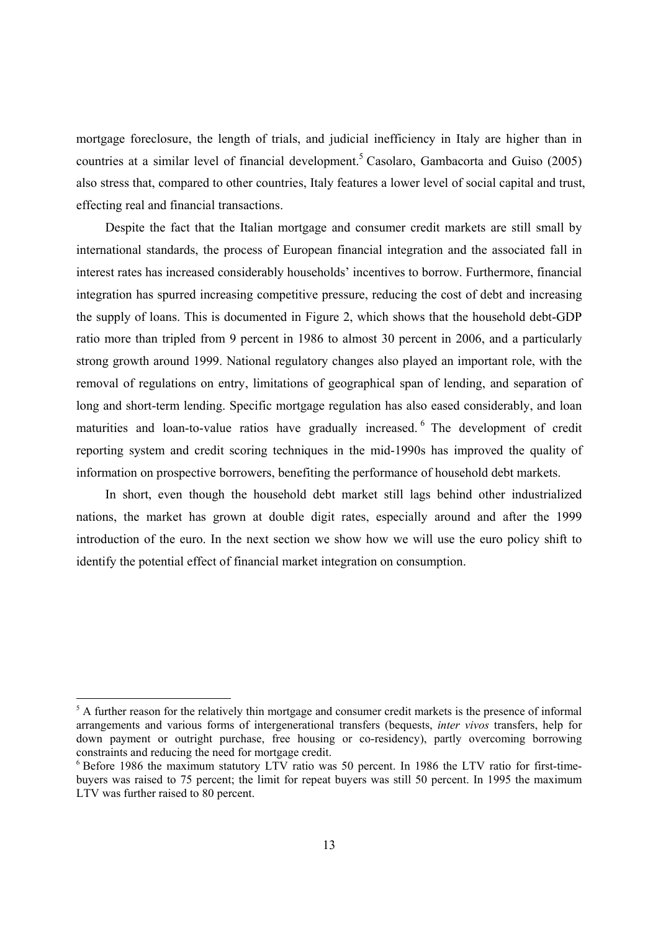mortgage foreclosure, the length of trials, and judicial inefficiency in Italy are higher than in countries at a similar level of financial development.<sup>5</sup> Casolaro, Gambacorta and Guiso (2005) also stress that, compared to other countries, Italy features a lower level of social capital and trust, effecting real and financial transactions.

Despite the fact that the Italian mortgage and consumer credit markets are still small by international standards, the process of European financial integration and the associated fall in interest rates has increased considerably households' incentives to borrow. Furthermore, financial integration has spurred increasing competitive pressure, reducing the cost of debt and increasing the supply of loans. This is documented in Figure 2, which shows that the household debt-GDP ratio more than tripled from 9 percent in 1986 to almost 30 percent in 2006, and a particularly strong growth around 1999. National regulatory changes also played an important role, with the removal of regulations on entry, limitations of geographical span of lending, and separation of long and short-term lending. Specific mortgage regulation has also eased considerably, and loan maturities and loan-to-value ratios have gradually increased. <sup>6</sup> The development of credit reporting system and credit scoring techniques in the mid-1990s has improved the quality of information on prospective borrowers, benefiting the performance of household debt markets.

In short, even though the household debt market still lags behind other industrialized nations, the market has grown at double digit rates, especially around and after the 1999 introduction of the euro. In the next section we show how we will use the euro policy shift to identify the potential effect of financial market integration on consumption.

<sup>&</sup>lt;sup>5</sup> A further reason for the relatively thin mortgage and consumer credit markets is the presence of informal arrangements and various forms of intergenerational transfers (bequests, *inter vivos* transfers, help for down payment or outright purchase, free housing or co-residency), partly overcoming borrowing constraints and reducing the need for mortgage credit.

<sup>&</sup>lt;sup>6</sup> Before 1986 the maximum statutory LTV ratio was 50 percent. In 1986 the LTV ratio for first-timebuyers was raised to 75 percent; the limit for repeat buyers was still 50 percent. In 1995 the maximum LTV was further raised to 80 percent.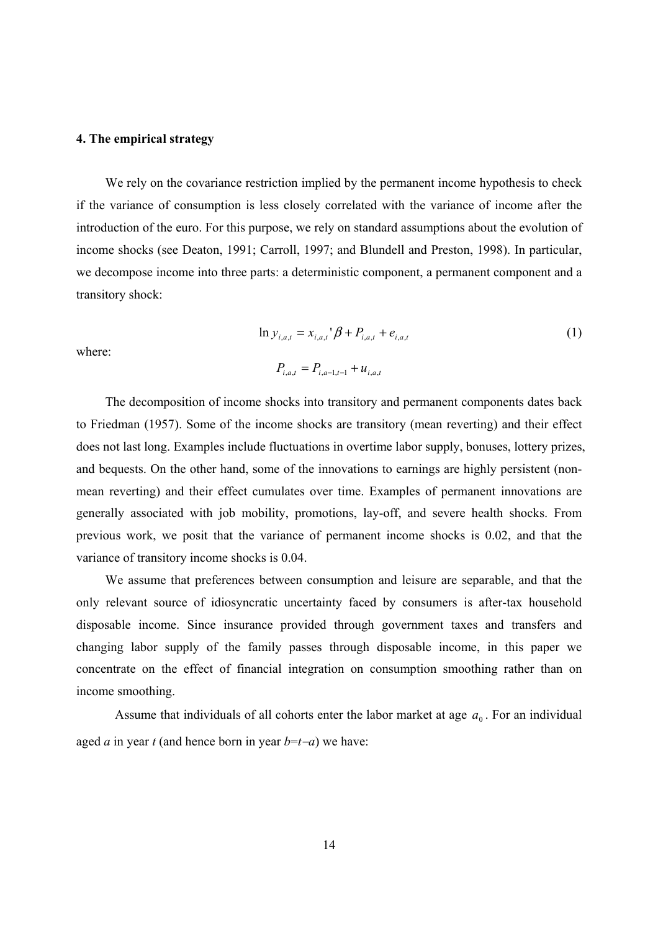#### **4. The empirical strategy**

We rely on the covariance restriction implied by the permanent income hypothesis to check if the variance of consumption is less closely correlated with the variance of income after the introduction of the euro. For this purpose, we rely on standard assumptions about the evolution of income shocks (see Deaton, 1991; Carroll, 1997; and Blundell and Preston, 1998). In particular, we decompose income into three parts: a deterministic component, a permanent component and a transitory shock:

$$
\ln y_{i,a,t} = x_{i,a,t} \, \beta + P_{i,a,t} + e_{i,a,t} \tag{1}
$$

where:

$$
P_{i,a,t} = P_{i,a-1,t-1} + u_{i,a,t}
$$

The decomposition of income shocks into transitory and permanent components dates back to Friedman (1957). Some of the income shocks are transitory (mean reverting) and their effect does not last long. Examples include fluctuations in overtime labor supply, bonuses, lottery prizes, and bequests. On the other hand, some of the innovations to earnings are highly persistent (nonmean reverting) and their effect cumulates over time. Examples of permanent innovations are generally associated with job mobility, promotions, lay-off, and severe health shocks. From previous work, we posit that the variance of permanent income shocks is 0.02, and that the variance of transitory income shocks is 0.04.

We assume that preferences between consumption and leisure are separable, and that the only relevant source of idiosyncratic uncertainty faced by consumers is after-tax household disposable income. Since insurance provided through government taxes and transfers and changing labor supply of the family passes through disposable income, in this paper we concentrate on the effect of financial integration on consumption smoothing rather than on income smoothing.

Assume that individuals of all cohorts enter the labor market at age  $a_0$ . For an individual aged *a* in year *t* (and hence born in year  $b = t - a$ ) we have: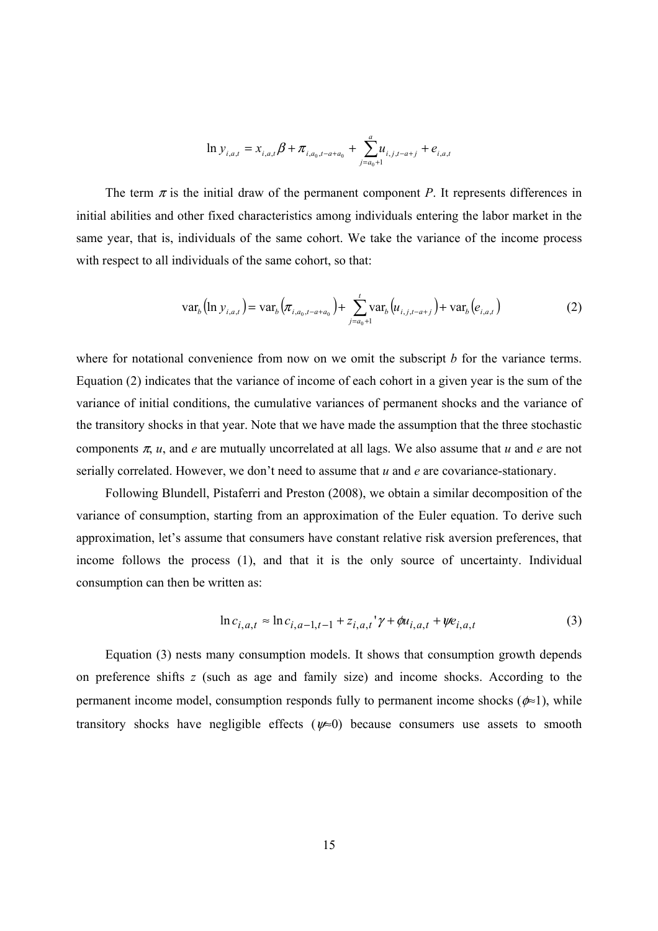$$
\ln y_{i,a,t} = x_{i,a,t}\beta + \pi_{i,a_0,t-a+a_0} + \sum_{j=a_0+1}^{a} u_{i,j,t-a+j} + e_{i,a,t}
$$

The term  $\pi$  is the initial draw of the permanent component *P*. It represents differences in initial abilities and other fixed characteristics among individuals entering the labor market in the same year, that is, individuals of the same cohort. We take the variance of the income process with respect to all individuals of the same cohort, so that:

$$
\text{var}_{b}\left(\ln y_{i,a,t}\right) = \text{var}_{b}\left(\pi_{i,a_{0},t-a+a_{0}}\right) + \sum_{j=a_{0}+1}^{t} \text{var}_{b}\left(u_{i,j,t-a+j}\right) + \text{var}_{b}\left(e_{i,a,t}\right) \tag{2}
$$

where for notational convenience from now on we omit the subscript *b* for the variance terms. Equation (2) indicates that the variance of income of each cohort in a given year is the sum of the variance of initial conditions, the cumulative variances of permanent shocks and the variance of the transitory shocks in that year. Note that we have made the assumption that the three stochastic components  $\pi$ , *u*, and *e* are mutually uncorrelated at all lags. We also assume that *u* and *e* are not serially correlated. However, we don't need to assume that *u* and *e* are covariance-stationary.

Following Blundell, Pistaferri and Preston (2008), we obtain a similar decomposition of the variance of consumption, starting from an approximation of the Euler equation. To derive such approximation, let's assume that consumers have constant relative risk aversion preferences, that income follows the process (1), and that it is the only source of uncertainty. Individual consumption can then be written as:

$$
\ln c_{i,a,t} \approx \ln c_{i,a-1,t-1} + z_{i,a,t} \gamma + \phi u_{i,a,t} + \psi e_{i,a,t}
$$
 (3)

Equation (3) nests many consumption models. It shows that consumption growth depends on preference shifts *z* (such as age and family size) and income shocks. According to the permanent income model, consumption responds fully to permanent income shocks ( $\phi \approx 1$ ), while transitory shocks have negligible effects ( $\nu \approx 0$ ) because consumers use assets to smooth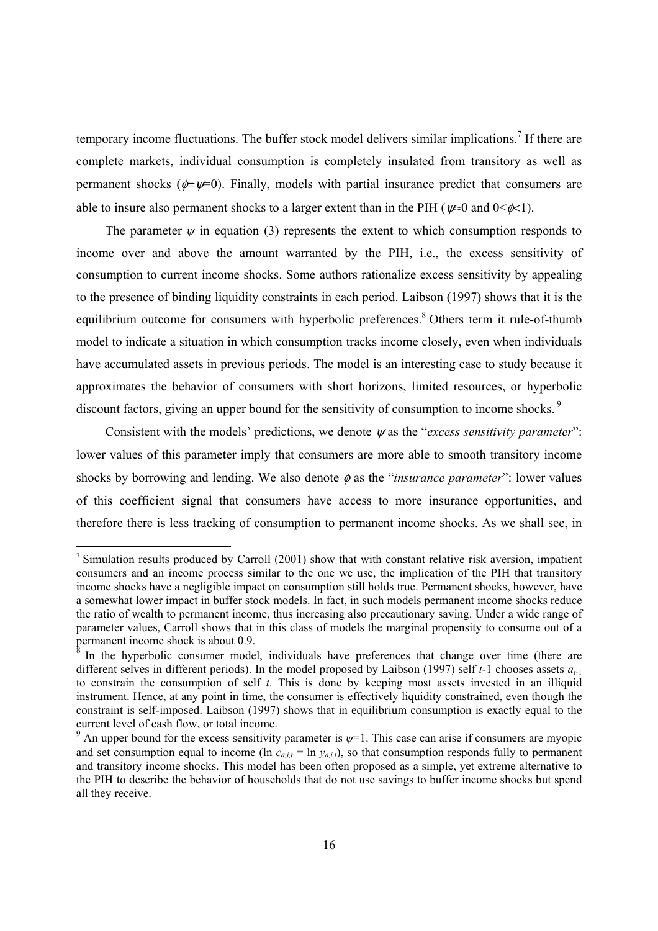temporary income fluctuations. The buffer stock model delivers similar implications.<sup>7</sup> If there are complete markets, individual consumption is completely insulated from transitory as well as permanent shocks ( $\psi = \psi = 0$ ). Finally, models with partial insurance predict that consumers are able to insure also permanent shocks to a larger extent than in the PIH ( $\nu \approx 0$  and  $0 \ll \nu \ll 1$ ).

The parameter  $\psi$  in equation (3) represents the extent to which consumption responds to income over and above the amount warranted by the PIH, i.e., the excess sensitivity of consumption to current income shocks. Some authors rationalize excess sensitivity by appealing to the presence of binding liquidity constraints in each period. Laibson (1997) shows that it is the equilibrium outcome for consumers with hyperbolic preferences.<sup>8</sup> Others term it rule-of-thumb model to indicate a situation in which consumption tracks income closely, even when individuals have accumulated assets in previous periods. The model is an interesting case to study because it approximates the behavior of consumers with short horizons, limited resources, or hyperbolic discount factors, giving an upper bound for the sensitivity of consumption to income shocks.<sup>9</sup>

Consistent with the models' predictions, we denote  $\nu$  as the "*excess sensitivity parameter*": lower values of this parameter imply that consumers are more able to smooth transitory income shocks by borrowing and lending. We also denote  $\phi$  as the "*insurance parameter*": lower values of this coefficient signal that consumers have access to more insurance opportunities, and therefore there is less tracking of consumption to permanent income shocks. As we shall see, in

<sup>&</sup>lt;sup>7</sup> Simulation results produced by Carroll (2001) show that with constant relative risk aversion, impatient consumers and an income process similar to the one we use, the implication of the PIH that transitory income shocks have a negligible impact on consumption still holds true. Permanent shocks, however, have a somewhat lower impact in buffer stock models. In fact, in such models permanent income shocks reduce the ratio of wealth to permanent income, thus increasing also precautionary saving. Under a wide range of parameter values, Carroll shows that in this class of models the marginal propensity to consume out of a permanent income shock is about  $0.9$ .

In the hyperbolic consumer model, individuals have preferences that change over time (there are different selves in different periods). In the model proposed by Laibson (1997) self *t*-1 chooses assets *at*-1 to constrain the consumption of self *t*. This is done by keeping most assets invested in an illiquid instrument. Hence, at any point in time, the consumer is effectively liquidity constrained, even though the constraint is self-imposed. Laibson (1997) shows that in equilibrium consumption is exactly equal to the current level of cash flow, or total income.

<sup>&</sup>lt;sup>9</sup> An upper bound for the excess sensitivity parameter is  $\psi$ =1. This case can arise if consumers are myopic and set consumption equal to income (ln  $c_{a,i,t} = \ln y_{a,i,t}$ ), so that consumption responds fully to permanent and transitory income shocks. This model has been often proposed as a simple, yet extreme alternative to the PIH to describe the behavior of households that do not use savings to buffer income shocks but spend all they receive.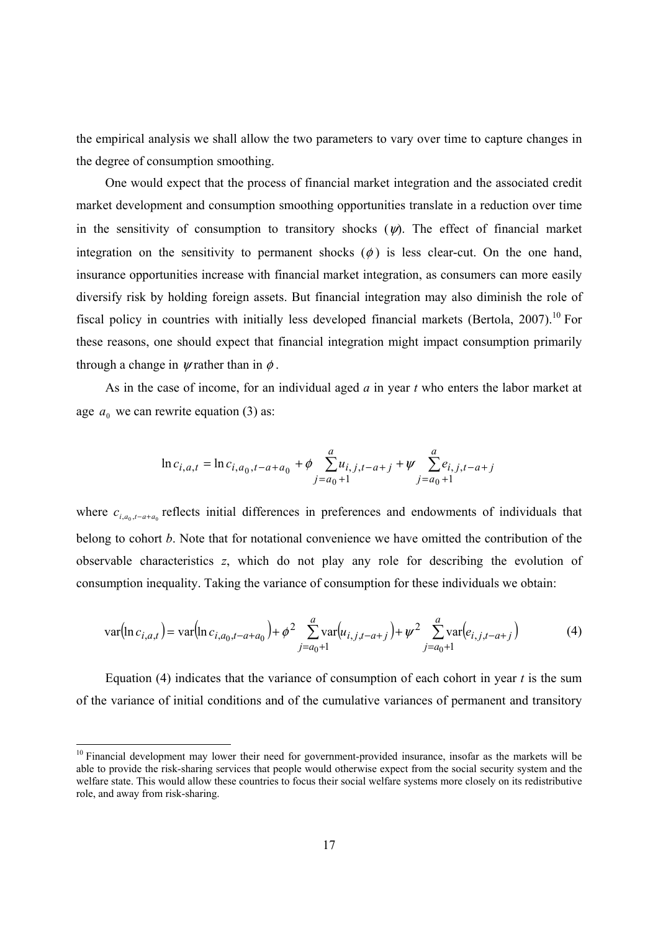the empirical analysis we shall allow the two parameters to vary over time to capture changes in the degree of consumption smoothing.

One would expect that the process of financial market integration and the associated credit market development and consumption smoothing opportunities translate in a reduction over time in the sensitivity of consumption to transitory shocks  $(\psi)$ . The effect of financial market integration on the sensitivity to permanent shocks  $(\phi)$  is less clear-cut. On the one hand, insurance opportunities increase with financial market integration, as consumers can more easily diversify risk by holding foreign assets. But financial integration may also diminish the role of fiscal policy in countries with initially less developed financial markets (Bertola, 2007).<sup>10</sup> For these reasons, one should expect that financial integration might impact consumption primarily through a change in  $\psi$  rather than in  $\phi$ .

As in the case of income, for an individual aged *a* in year *t* who enters the labor market at age  $a_0$  we can rewrite equation (3) as:

$$
\ln c_{i,a,t} = \ln c_{i,a_0,t-a+a_0} + \phi \sum_{j=a_0+1}^{a} u_{i,j,t-a+j} + \psi \sum_{j=a_0+1}^{a} e_{i,j,t-a+j}
$$

where  $c_{i,a_0,t-a+a_0}$  reflects initial differences in preferences and endowments of individuals that belong to cohort *b*. Note that for notational convenience we have omitted the contribution of the observable characteristics *z*, which do not play any role for describing the evolution of consumption inequality. Taking the variance of consumption for these individuals we obtain:

$$
\text{var}(\ln c_{i,a,t}) = \text{var}(\ln c_{i,a_0,t-a+a_0}) + \phi^2 \sum_{j=a_0+1}^{a} \text{var}(u_{i,j,t-a+j}) + \psi^2 \sum_{j=a_0+1}^{a} \text{var}(e_{i,j,t-a+j}) \tag{4}
$$

Equation (4) indicates that the variance of consumption of each cohort in year *t* is the sum of the variance of initial conditions and of the cumulative variances of permanent and transitory

<sup>&</sup>lt;sup>10</sup> Financial development may lower their need for government-provided insurance, insofar as the markets will be able to provide the risk-sharing services that people would otherwise expect from the social security system and the welfare state. This would allow these countries to focus their social welfare systems more closely on its redistributive role, and away from risk-sharing.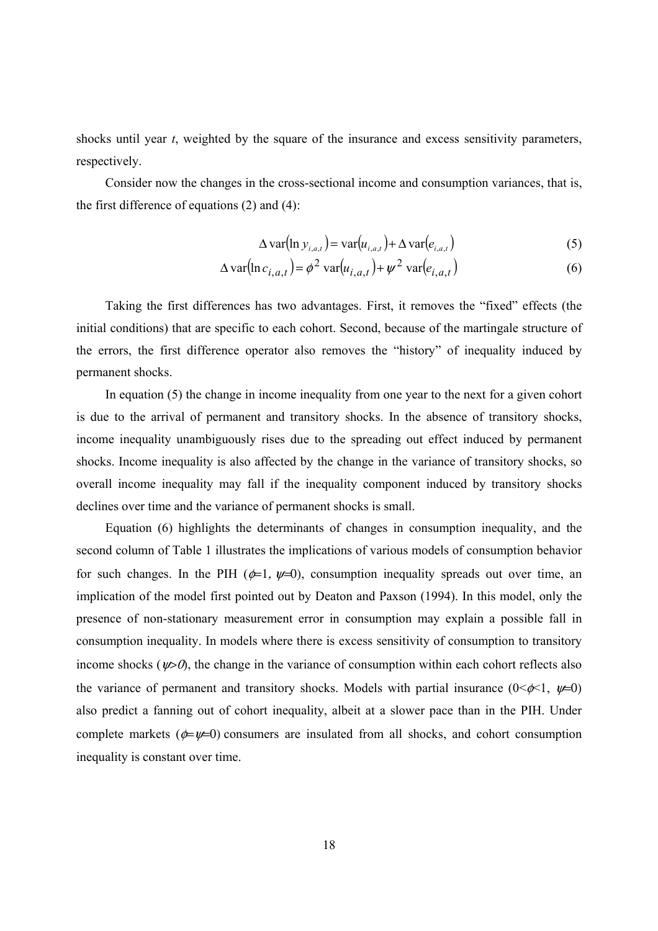shocks until year *t*, weighted by the square of the insurance and excess sensitivity parameters, respectively.

Consider now the changes in the cross-sectional income and consumption variances, that is, the first difference of equations (2) and (4):

$$
\Delta \text{var}(\ln y_{i,a,t}) = \text{var}(u_{i,a,t}) + \Delta \text{var}(e_{i,a,t})
$$
\n(5)

$$
\Delta \text{var}(\ln c_{i,a,t}) = \phi^2 \text{var}(u_{i,a,t}) + \psi^2 \text{var}(e_{i,a,t})
$$
(6)

Taking the first differences has two advantages. First, it removes the "fixed" effects (the initial conditions) that are specific to each cohort. Second, because of the martingale structure of the errors, the first difference operator also removes the "history" of inequality induced by permanent shocks.

In equation (5) the change in income inequality from one year to the next for a given cohort is due to the arrival of permanent and transitory shocks. In the absence of transitory shocks, income inequality unambiguously rises due to the spreading out effect induced by permanent shocks. Income inequality is also affected by the change in the variance of transitory shocks, so overall income inequality may fall if the inequality component induced by transitory shocks declines over time and the variance of permanent shocks is small.

Equation (6) highlights the determinants of changes in consumption inequality, and the second column of Table 1 illustrates the implications of various models of consumption behavior for such changes. In the PIH ( $\phi=1$ ,  $\psi=0$ ), consumption inequality spreads out over time, an implication of the model first pointed out by Deaton and Paxson (1994). In this model, only the presence of non-stationary measurement error in consumption may explain a possible fall in consumption inequality. In models where there is excess sensitivity of consumption to transitory income shocks ( $\psi > 0$ ), the change in the variance of consumption within each cohort reflects also the variance of permanent and transitory shocks. Models with partial insurance  $(0<\phi<1, \psi=0)$ also predict a fanning out of cohort inequality, albeit at a slower pace than in the PIH. Under complete markets ( $\phi = \psi = 0$ ) consumers are insulated from all shocks, and cohort consumption inequality is constant over time.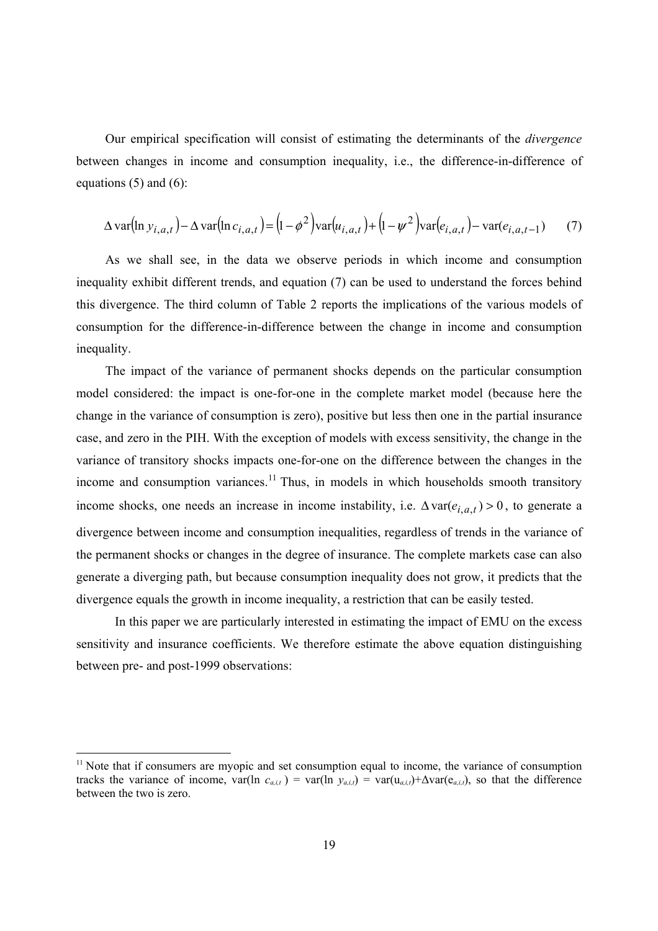Our empirical specification will consist of estimating the determinants of the *divergence* between changes in income and consumption inequality, i.e., the difference-in-difference of equations  $(5)$  and  $(6)$ :

$$
\Delta \text{var}(\ln y_{i,a,t}) - \Delta \text{var}(\ln c_{i,a,t}) = (1 - \phi^2) \text{var}(u_{i,a,t}) + (1 - \psi^2) \text{var}(e_{i,a,t}) - \text{var}(e_{i,a,t-1}) \tag{7}
$$

As we shall see, in the data we observe periods in which income and consumption inequality exhibit different trends, and equation (7) can be used to understand the forces behind this divergence. The third column of Table 2 reports the implications of the various models of consumption for the difference-in-difference between the change in income and consumption inequality.

The impact of the variance of permanent shocks depends on the particular consumption model considered: the impact is one-for-one in the complete market model (because here the change in the variance of consumption is zero), positive but less then one in the partial insurance case, and zero in the PIH. With the exception of models with excess sensitivity, the change in the variance of transitory shocks impacts one-for-one on the difference between the changes in the income and consumption variances.<sup>11</sup> Thus, in models in which households smooth transitory income shocks, one needs an increase in income instability, i.e.  $\Delta \text{var}(e_{i, a, t}) > 0$ , to generate a divergence between income and consumption inequalities, regardless of trends in the variance of the permanent shocks or changes in the degree of insurance. The complete markets case can also generate a diverging path, but because consumption inequality does not grow, it predicts that the divergence equals the growth in income inequality, a restriction that can be easily tested.

In this paper we are particularly interested in estimating the impact of EMU on the excess sensitivity and insurance coefficients. We therefore estimate the above equation distinguishing between pre- and post-1999 observations:

<sup>&</sup>lt;sup>11</sup> Note that if consumers are myopic and set consumption equal to income, the variance of consumption tracks the variance of income, var(ln  $c_{a,i,t}$ ) = var(ln  $y_{a,i,t}$ ) = var(u<sub>a,i,t</sub>)+∆var(e<sub>a,i,t</sub>), so that the difference between the two is zero.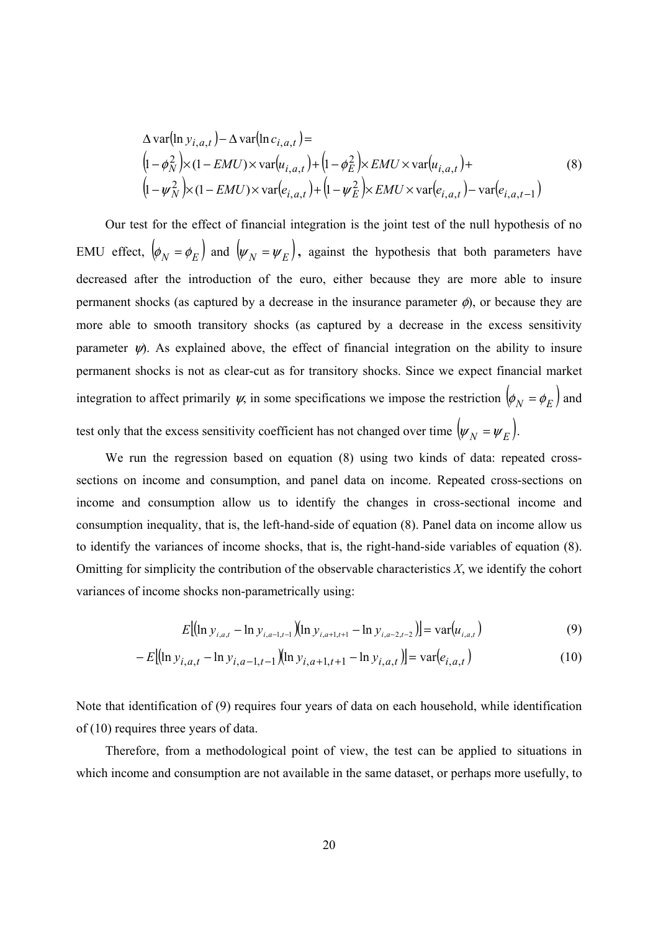$$
\Delta \text{var}(\ln y_{i,a,t}) - \Delta \text{var}(\ln c_{i,a,t}) =
$$
\n
$$
\left(1 - \phi_N^2\right) \times (1 - EMU) \times \text{var}\left(u_{i,a,t}\right) + \left(1 - \phi_E^2\right) \times EMU \times \text{var}\left(u_{i,a,t}\right) +
$$
\n
$$
\left(1 - \psi_N^2\right) \times (1 - EMU) \times \text{var}\left(e_{i,a,t}\right) + \left(1 - \psi_E^2\right) \times EMU \times \text{var}\left(e_{i,a,t}\right) - \text{var}\left(e_{i,a,t-1}\right)
$$
\n(8)

Our test for the effect of financial integration is the joint test of the null hypothesis of no EMU effect,  $\left(\phi_N = \phi_E\right)$  and  $\left(\psi_N = \psi_E\right)$ , against the hypothesis that both parameters have decreased after the introduction of the euro, either because they are more able to insure permanent shocks (as captured by a decrease in the insurance parameter  $\phi$ ), or because they are more able to smooth transitory shocks (as captured by a decrease in the excess sensitivity parameter  $\psi$ . As explained above, the effect of financial integration on the ability to insure permanent shocks is not as clear-cut as for transitory shocks. Since we expect financial market integration to affect primarily  $\psi$ , in some specifications we impose the restriction  $\left(\phi_N = \phi_E\right)$  and test only that the excess sensitivity coefficient has not changed over time  $(\psi_N = \psi_E)$ .

We run the regression based on equation (8) using two kinds of data: repeated crosssections on income and consumption, and panel data on income. Repeated cross-sections on income and consumption allow us to identify the changes in cross-sectional income and consumption inequality, that is, the left-hand-side of equation (8). Panel data on income allow us to identify the variances of income shocks, that is, the right-hand-side variables of equation (8). Omitting for simplicity the contribution of the observable characteristics *X*, we identify the cohort variances of income shocks non-parametrically using:

$$
E[(\ln y_{i,a,t} - \ln y_{i,a-1,t-1})(\ln y_{i,a+1,t+1} - \ln y_{i,a-2,t-2})] = \text{var}(u_{i,a,t})
$$
\n(9)

$$
-E[(\ln y_{i,a,t} - \ln y_{i,a-1,t-1})(\ln y_{i,a+1,t+1} - \ln y_{i,a,t})] = \text{var}(e_{i,a,t})
$$
\n(10)

Note that identification of (9) requires four years of data on each household, while identification of (10) requires three years of data.

Therefore, from a methodological point of view, the test can be applied to situations in which income and consumption are not available in the same dataset, or perhaps more usefully, to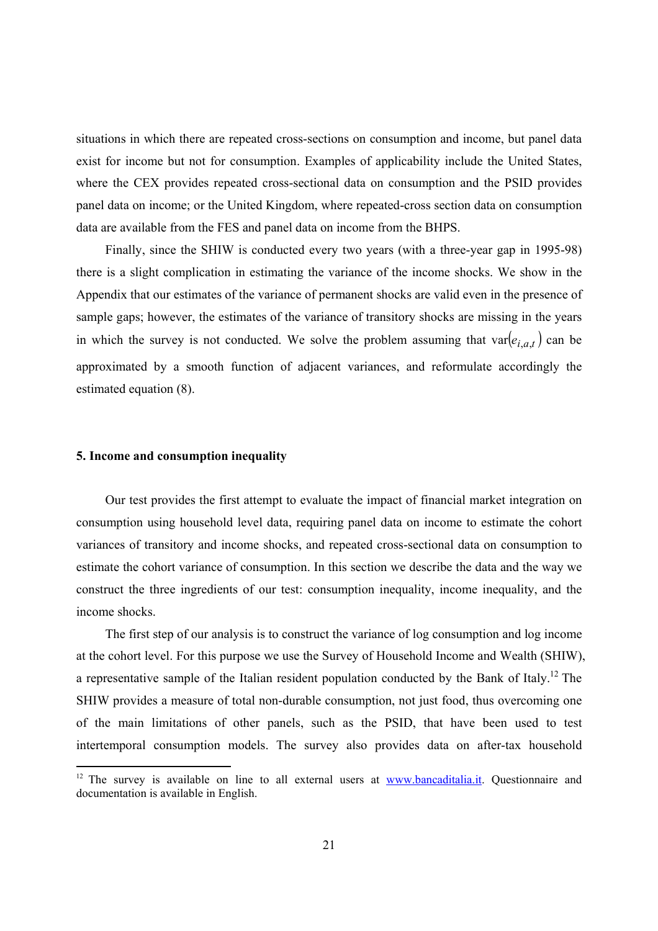situations in which there are repeated cross-sections on consumption and income, but panel data exist for income but not for consumption. Examples of applicability include the United States, where the CEX provides repeated cross-sectional data on consumption and the PSID provides panel data on income; or the United Kingdom, where repeated-cross section data on consumption data are available from the FES and panel data on income from the BHPS.

Finally, since the SHIW is conducted every two years (with a three-year gap in 1995-98) there is a slight complication in estimating the variance of the income shocks. We show in the Appendix that our estimates of the variance of permanent shocks are valid even in the presence of sample gaps; however, the estimates of the variance of transitory shocks are missing in the years in which the survey is not conducted. We solve the problem assuming that  $var(e_{i,a,t})$  can be approximated by a smooth function of adjacent variances, and reformulate accordingly the estimated equation (8).

## **5. Income and consumption inequality**

Our test provides the first attempt to evaluate the impact of financial market integration on consumption using household level data, requiring panel data on income to estimate the cohort variances of transitory and income shocks, and repeated cross-sectional data on consumption to estimate the cohort variance of consumption. In this section we describe the data and the way we construct the three ingredients of our test: consumption inequality, income inequality, and the income shocks.

The first step of our analysis is to construct the variance of log consumption and log income at the cohort level. For this purpose we use the Survey of Household Income and Wealth (SHIW), a representative sample of the Italian resident population conducted by the Bank of Italy.12 The SHIW provides a measure of total non-durable consumption, not just food, thus overcoming one of the main limitations of other panels, such as the PSID, that have been used to test intertemporal consumption models. The survey also provides data on after-tax household

<sup>&</sup>lt;sup>12</sup> The survey is available on line to all external users at www.bancaditalia.it. Questionnaire and documentation is available in English.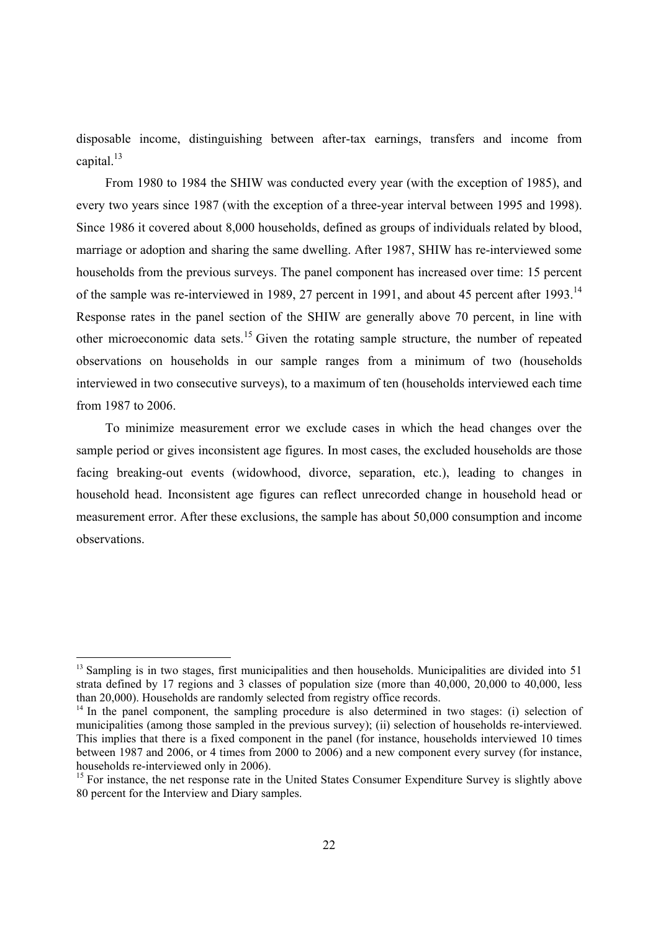disposable income, distinguishing between after-tax earnings, transfers and income from capital. $13$ 

From 1980 to 1984 the SHIW was conducted every year (with the exception of 1985), and every two years since 1987 (with the exception of a three-year interval between 1995 and 1998). Since 1986 it covered about 8,000 households, defined as groups of individuals related by blood, marriage or adoption and sharing the same dwelling. After 1987, SHIW has re-interviewed some households from the previous surveys. The panel component has increased over time: 15 percent of the sample was re-interviewed in 1989, 27 percent in 1991, and about 45 percent after 1993.<sup>14</sup> Response rates in the panel section of the SHIW are generally above 70 percent, in line with other microeconomic data sets.15 Given the rotating sample structure, the number of repeated observations on households in our sample ranges from a minimum of two (households interviewed in two consecutive surveys), to a maximum of ten (households interviewed each time from 1987 to 2006.

To minimize measurement error we exclude cases in which the head changes over the sample period or gives inconsistent age figures. In most cases, the excluded households are those facing breaking-out events (widowhood, divorce, separation, etc.), leading to changes in household head. Inconsistent age figures can reflect unrecorded change in household head or measurement error. After these exclusions, the sample has about 50,000 consumption and income observations.

l

<sup>&</sup>lt;sup>13</sup> Sampling is in two stages, first municipalities and then households. Municipalities are divided into 51 strata defined by 17 regions and 3 classes of population size (more than 40,000, 20,000 to 40,000, less than 20,000). Households are randomly selected from registry office records.

 $14$  In the panel component, the sampling procedure is also determined in two stages: (i) selection of municipalities (among those sampled in the previous survey); (ii) selection of households re-interviewed. This implies that there is a fixed component in the panel (for instance, households interviewed 10 times between 1987 and 2006, or 4 times from 2000 to 2006) and a new component every survey (for instance, households re-interviewed only in 2006).

<sup>&</sup>lt;sup>15</sup> For instance, the net response rate in the United States Consumer Expenditure Survey is slightly above 80 percent for the Interview and Diary samples.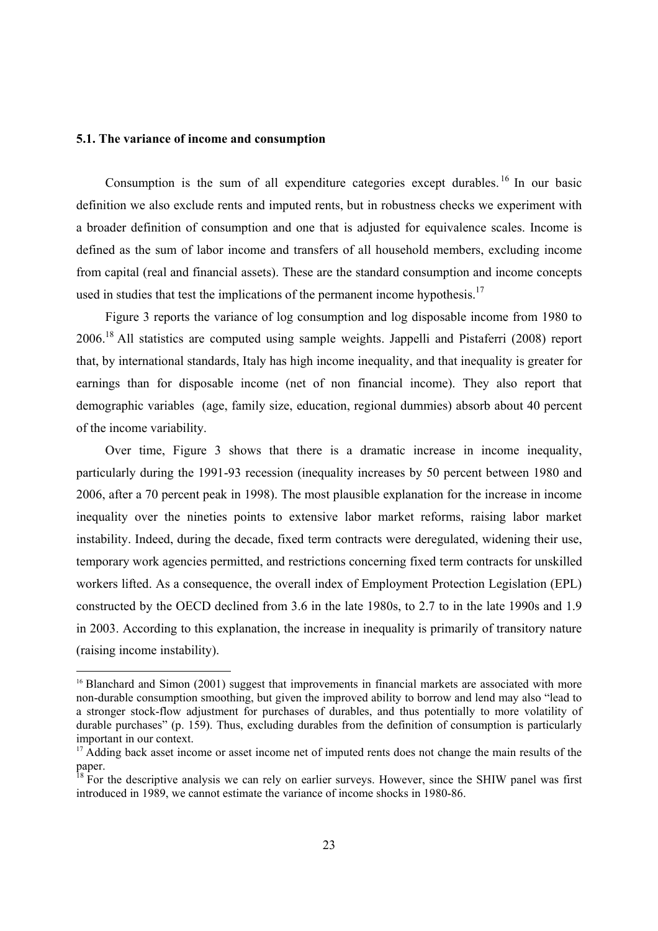#### **5.1. The variance of income and consumption**

l

Consumption is the sum of all expenditure categories except durables.<sup>16</sup> In our basic definition we also exclude rents and imputed rents, but in robustness checks we experiment with a broader definition of consumption and one that is adjusted for equivalence scales. Income is defined as the sum of labor income and transfers of all household members, excluding income from capital (real and financial assets). These are the standard consumption and income concepts used in studies that test the implications of the permanent income hypothesis.<sup>17</sup>

Figure 3 reports the variance of log consumption and log disposable income from 1980 to 2006.18 All statistics are computed using sample weights. Jappelli and Pistaferri (2008) report that, by international standards, Italy has high income inequality, and that inequality is greater for earnings than for disposable income (net of non financial income). They also report that demographic variables (age, family size, education, regional dummies) absorb about 40 percent of the income variability.

Over time, Figure 3 shows that there is a dramatic increase in income inequality, particularly during the 1991-93 recession (inequality increases by 50 percent between 1980 and 2006, after a 70 percent peak in 1998). The most plausible explanation for the increase in income inequality over the nineties points to extensive labor market reforms, raising labor market instability. Indeed, during the decade, fixed term contracts were deregulated, widening their use, temporary work agencies permitted, and restrictions concerning fixed term contracts for unskilled workers lifted. As a consequence, the overall index of Employment Protection Legislation (EPL) constructed by the OECD declined from 3.6 in the late 1980s, to 2.7 to in the late 1990s and 1.9 in 2003. According to this explanation, the increase in inequality is primarily of transitory nature (raising income instability).

<sup>&</sup>lt;sup>16</sup> Blanchard and Simon (2001) suggest that improvements in financial markets are associated with more non-durable consumption smoothing, but given the improved ability to borrow and lend may also "lead to a stronger stock-flow adjustment for purchases of durables, and thus potentially to more volatility of durable purchases" (p. 159). Thus, excluding durables from the definition of consumption is particularly important in our context.

<sup>&</sup>lt;sup>17</sup> Adding back asset income or asset income net of imputed rents does not change the main results of the paper.

 $18$  For the descriptive analysis we can rely on earlier surveys. However, since the SHIW panel was first introduced in 1989, we cannot estimate the variance of income shocks in 1980-86.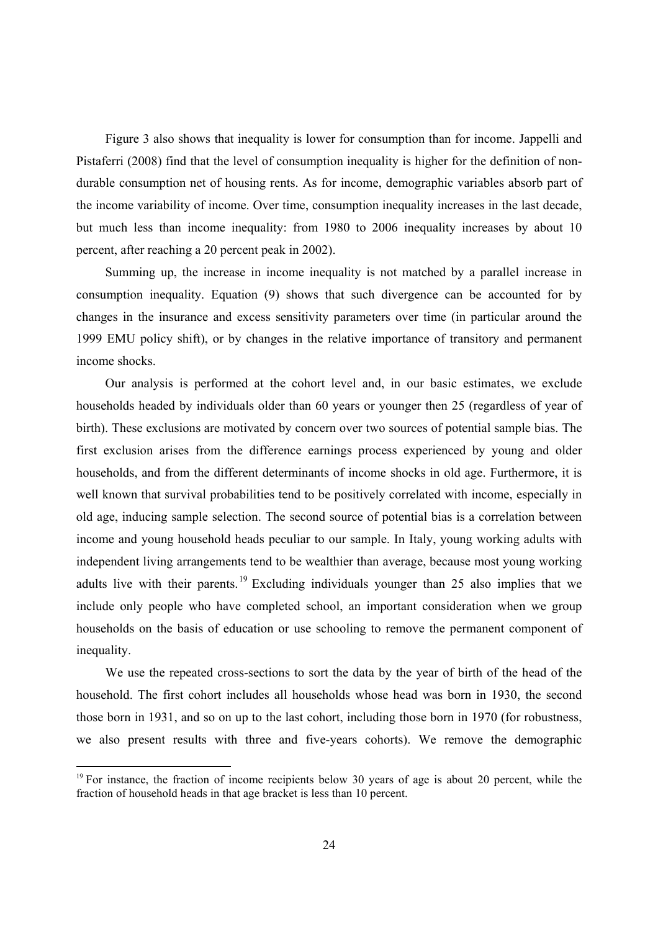Figure 3 also shows that inequality is lower for consumption than for income. Jappelli and Pistaferri (2008) find that the level of consumption inequality is higher for the definition of nondurable consumption net of housing rents. As for income, demographic variables absorb part of the income variability of income. Over time, consumption inequality increases in the last decade, but much less than income inequality: from 1980 to 2006 inequality increases by about 10 percent, after reaching a 20 percent peak in 2002).

Summing up, the increase in income inequality is not matched by a parallel increase in consumption inequality. Equation (9) shows that such divergence can be accounted for by changes in the insurance and excess sensitivity parameters over time (in particular around the 1999 EMU policy shift), or by changes in the relative importance of transitory and permanent income shocks.

Our analysis is performed at the cohort level and, in our basic estimates, we exclude households headed by individuals older than 60 years or younger then 25 (regardless of year of birth). These exclusions are motivated by concern over two sources of potential sample bias. The first exclusion arises from the difference earnings process experienced by young and older households, and from the different determinants of income shocks in old age. Furthermore, it is well known that survival probabilities tend to be positively correlated with income, especially in old age, inducing sample selection. The second source of potential bias is a correlation between income and young household heads peculiar to our sample. In Italy, young working adults with independent living arrangements tend to be wealthier than average, because most young working adults live with their parents.<sup>19</sup> Excluding individuals younger than 25 also implies that we include only people who have completed school, an important consideration when we group households on the basis of education or use schooling to remove the permanent component of inequality.

We use the repeated cross-sections to sort the data by the year of birth of the head of the household. The first cohort includes all households whose head was born in 1930, the second those born in 1931, and so on up to the last cohort, including those born in 1970 (for robustness, we also present results with three and five-years cohorts). We remove the demographic

<sup>&</sup>lt;sup>19</sup> For instance, the fraction of income recipients below 30 years of age is about 20 percent, while the fraction of household heads in that age bracket is less than 10 percent.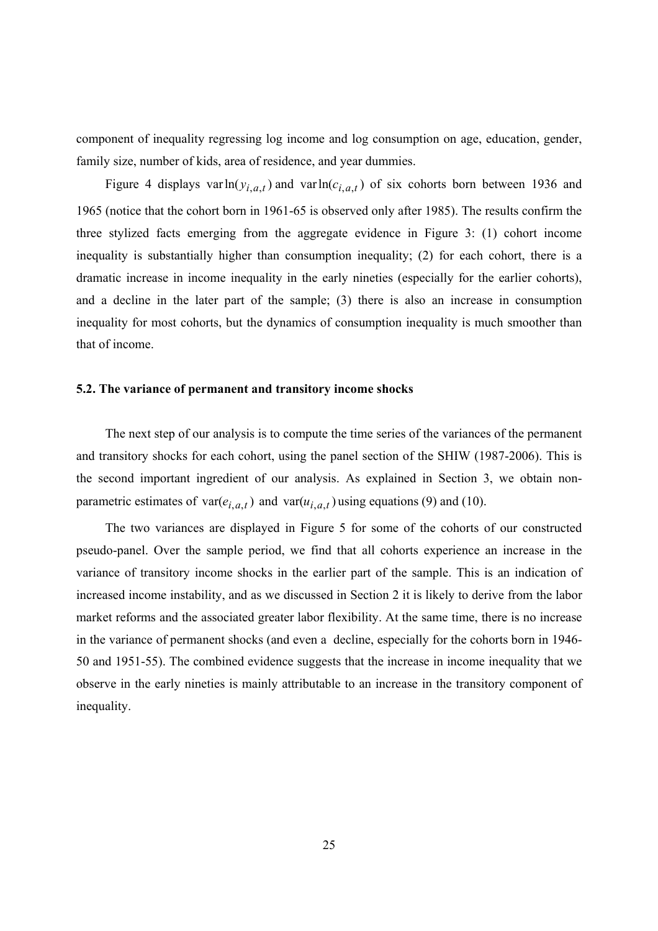component of inequality regressing log income and log consumption on age, education, gender, family size, number of kids, area of residence, and year dummies.

Figure 4 displays varln $(y_{i,a,t})$  and varln $(c_{i,a,t})$  of six cohorts born between 1936 and 1965 (notice that the cohort born in 1961-65 is observed only after 1985). The results confirm the three stylized facts emerging from the aggregate evidence in Figure 3: (1) cohort income inequality is substantially higher than consumption inequality; (2) for each cohort, there is a dramatic increase in income inequality in the early nineties (especially for the earlier cohorts), and a decline in the later part of the sample; (3) there is also an increase in consumption inequality for most cohorts, but the dynamics of consumption inequality is much smoother than that of income.

### **5.2. The variance of permanent and transitory income shocks**

The next step of our analysis is to compute the time series of the variances of the permanent and transitory shocks for each cohort, using the panel section of the SHIW (1987-2006). This is the second important ingredient of our analysis. As explained in Section 3, we obtain nonparametric estimates of var $(e_{i,a,t})$  and var $(u_{i,a,t})$  using equations (9) and (10).

The two variances are displayed in Figure 5 for some of the cohorts of our constructed pseudo-panel. Over the sample period, we find that all cohorts experience an increase in the variance of transitory income shocks in the earlier part of the sample. This is an indication of increased income instability, and as we discussed in Section 2 it is likely to derive from the labor market reforms and the associated greater labor flexibility. At the same time, there is no increase in the variance of permanent shocks (and even a decline, especially for the cohorts born in 1946- 50 and 1951-55). The combined evidence suggests that the increase in income inequality that we observe in the early nineties is mainly attributable to an increase in the transitory component of inequality.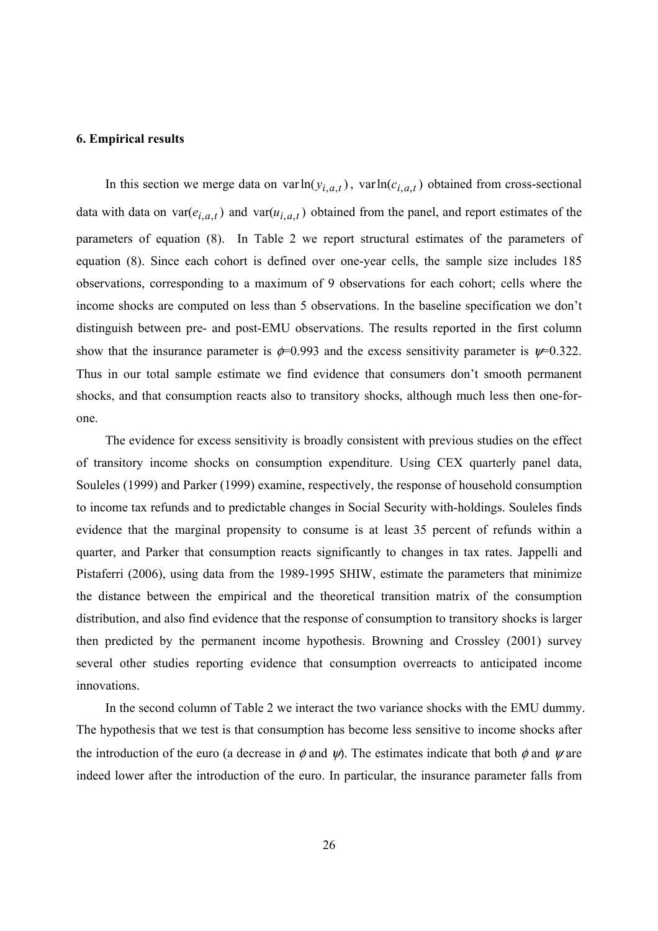#### **6. Empirical results**

In this section we merge data on varln $(y_{i,a,t})$ , varln $(c_{i,a,t})$  obtained from cross-sectional data with data on var( $e_{i,a,t}$ ) and var( $u_{i,a,t}$ ) obtained from the panel, and report estimates of the parameters of equation (8). In Table 2 we report structural estimates of the parameters of equation (8). Since each cohort is defined over one-year cells, the sample size includes 185 observations, corresponding to a maximum of 9 observations for each cohort; cells where the income shocks are computed on less than 5 observations. In the baseline specification we don't distinguish between pre- and post-EMU observations. The results reported in the first column show that the insurance parameter is  $\phi=0.993$  and the excess sensitivity parameter is  $\psi=0.322$ . Thus in our total sample estimate we find evidence that consumers don't smooth permanent shocks, and that consumption reacts also to transitory shocks, although much less then one-forone.

The evidence for excess sensitivity is broadly consistent with previous studies on the effect of transitory income shocks on consumption expenditure. Using CEX quarterly panel data, Souleles (1999) and Parker (1999) examine, respectively, the response of household consumption to income tax refunds and to predictable changes in Social Security with-holdings. Souleles finds evidence that the marginal propensity to consume is at least 35 percent of refunds within a quarter, and Parker that consumption reacts significantly to changes in tax rates. Jappelli and Pistaferri (2006), using data from the 1989-1995 SHIW, estimate the parameters that minimize the distance between the empirical and the theoretical transition matrix of the consumption distribution, and also find evidence that the response of consumption to transitory shocks is larger then predicted by the permanent income hypothesis. Browning and Crossley (2001) survey several other studies reporting evidence that consumption overreacts to anticipated income innovations.

In the second column of Table 2 we interact the two variance shocks with the EMU dummy. The hypothesis that we test is that consumption has become less sensitive to income shocks after the introduction of the euro (a decrease in  $\phi$  and  $\psi$ ). The estimates indicate that both  $\phi$  and  $\psi$  are indeed lower after the introduction of the euro. In particular, the insurance parameter falls from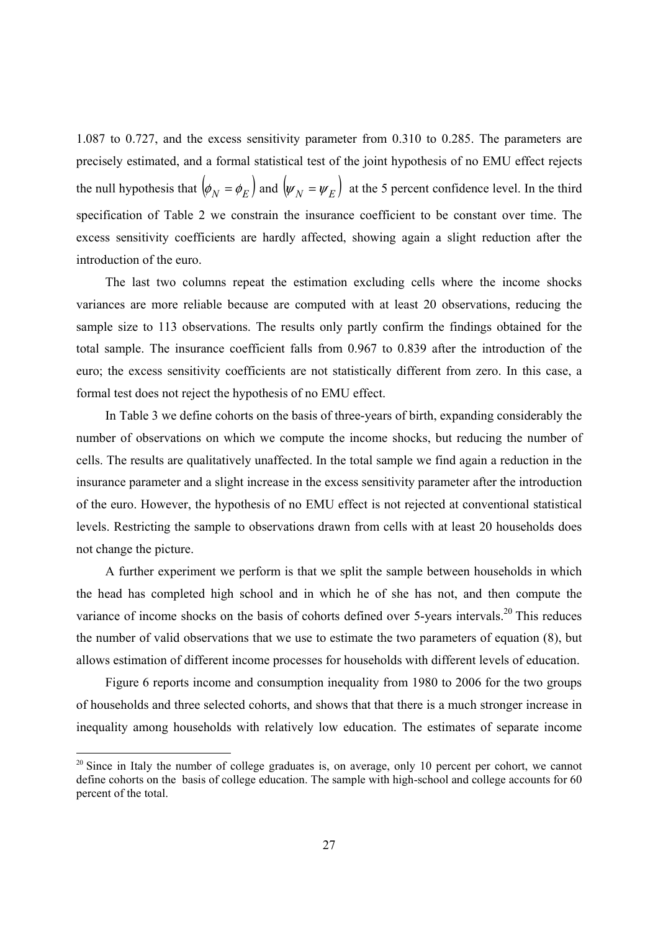1.087 to 0.727, and the excess sensitivity parameter from 0.310 to 0.285. The parameters are precisely estimated, and a formal statistical test of the joint hypothesis of no EMU effect rejects the null hypothesis that  $\left(\phi_N = \phi_F\right)$  and  $\left(\psi_N = \psi_F\right)$  at the 5 percent confidence level. In the third specification of Table 2 we constrain the insurance coefficient to be constant over time. The excess sensitivity coefficients are hardly affected, showing again a slight reduction after the introduction of the euro.

The last two columns repeat the estimation excluding cells where the income shocks variances are more reliable because are computed with at least 20 observations, reducing the sample size to 113 observations. The results only partly confirm the findings obtained for the total sample. The insurance coefficient falls from 0.967 to 0.839 after the introduction of the euro; the excess sensitivity coefficients are not statistically different from zero. In this case, a formal test does not reject the hypothesis of no EMU effect.

In Table 3 we define cohorts on the basis of three-years of birth, expanding considerably the number of observations on which we compute the income shocks, but reducing the number of cells. The results are qualitatively unaffected. In the total sample we find again a reduction in the insurance parameter and a slight increase in the excess sensitivity parameter after the introduction of the euro. However, the hypothesis of no EMU effect is not rejected at conventional statistical levels. Restricting the sample to observations drawn from cells with at least 20 households does not change the picture.

A further experiment we perform is that we split the sample between households in which the head has completed high school and in which he of she has not, and then compute the variance of income shocks on the basis of cohorts defined over 5-years intervals.<sup>20</sup> This reduces the number of valid observations that we use to estimate the two parameters of equation (8), but allows estimation of different income processes for households with different levels of education.

Figure 6 reports income and consumption inequality from 1980 to 2006 for the two groups of households and three selected cohorts, and shows that that there is a much stronger increase in inequality among households with relatively low education. The estimates of separate income

<sup>&</sup>lt;sup>20</sup> Since in Italy the number of college graduates is, on average, only 10 percent per cohort, we cannot define cohorts on the basis of college education. The sample with high-school and college accounts for 60 percent of the total.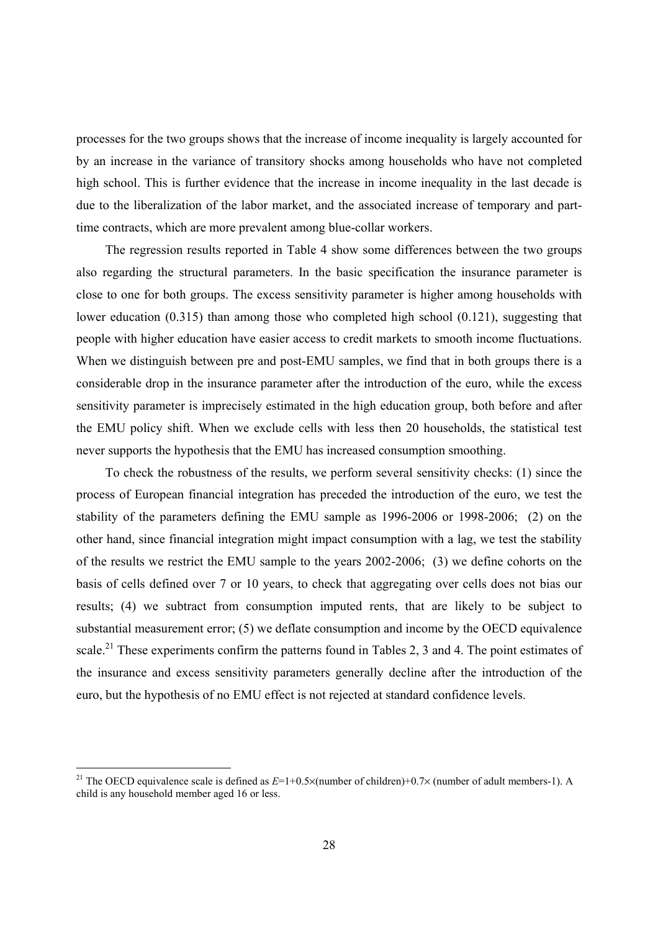processes for the two groups shows that the increase of income inequality is largely accounted for by an increase in the variance of transitory shocks among households who have not completed high school. This is further evidence that the increase in income inequality in the last decade is due to the liberalization of the labor market, and the associated increase of temporary and parttime contracts, which are more prevalent among blue-collar workers.

The regression results reported in Table 4 show some differences between the two groups also regarding the structural parameters. In the basic specification the insurance parameter is close to one for both groups. The excess sensitivity parameter is higher among households with lower education (0.315) than among those who completed high school (0.121), suggesting that people with higher education have easier access to credit markets to smooth income fluctuations. When we distinguish between pre and post-EMU samples, we find that in both groups there is a considerable drop in the insurance parameter after the introduction of the euro, while the excess sensitivity parameter is imprecisely estimated in the high education group, both before and after the EMU policy shift. When we exclude cells with less then 20 households, the statistical test never supports the hypothesis that the EMU has increased consumption smoothing.

To check the robustness of the results, we perform several sensitivity checks: (1) since the process of European financial integration has preceded the introduction of the euro, we test the stability of the parameters defining the EMU sample as 1996-2006 or 1998-2006; (2) on the other hand, since financial integration might impact consumption with a lag, we test the stability of the results we restrict the EMU sample to the years 2002-2006; (3) we define cohorts on the basis of cells defined over 7 or 10 years, to check that aggregating over cells does not bias our results; (4) we subtract from consumption imputed rents, that are likely to be subject to substantial measurement error; (5) we deflate consumption and income by the OECD equivalence scale.<sup>21</sup> These experiments confirm the patterns found in Tables 2, 3 and 4. The point estimates of the insurance and excess sensitivity parameters generally decline after the introduction of the euro, but the hypothesis of no EMU effect is not rejected at standard confidence levels.

<sup>&</sup>lt;sup>21</sup> The OECD equivalence scale is defined as  $E=1+0.5\times$  (number of children)+0.7 $\times$  (number of adult members-1). A child is any household member aged 16 or less.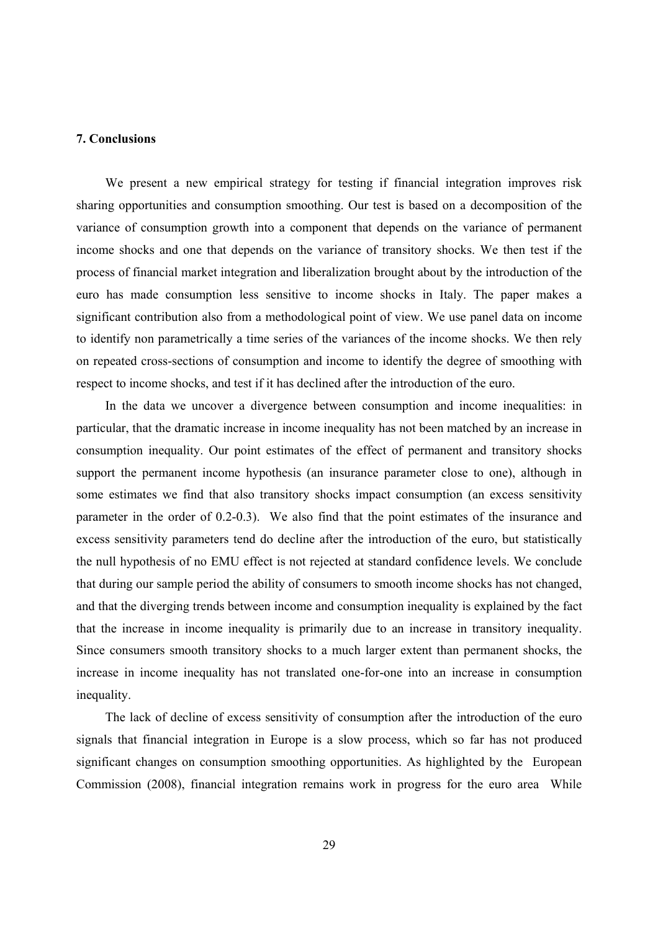#### **7. Conclusions**

We present a new empirical strategy for testing if financial integration improves risk sharing opportunities and consumption smoothing. Our test is based on a decomposition of the variance of consumption growth into a component that depends on the variance of permanent income shocks and one that depends on the variance of transitory shocks. We then test if the process of financial market integration and liberalization brought about by the introduction of the euro has made consumption less sensitive to income shocks in Italy. The paper makes a significant contribution also from a methodological point of view. We use panel data on income to identify non parametrically a time series of the variances of the income shocks. We then rely on repeated cross-sections of consumption and income to identify the degree of smoothing with respect to income shocks, and test if it has declined after the introduction of the euro.

In the data we uncover a divergence between consumption and income inequalities: in particular, that the dramatic increase in income inequality has not been matched by an increase in consumption inequality. Our point estimates of the effect of permanent and transitory shocks support the permanent income hypothesis (an insurance parameter close to one), although in some estimates we find that also transitory shocks impact consumption (an excess sensitivity parameter in the order of 0.2-0.3). We also find that the point estimates of the insurance and excess sensitivity parameters tend do decline after the introduction of the euro, but statistically the null hypothesis of no EMU effect is not rejected at standard confidence levels. We conclude that during our sample period the ability of consumers to smooth income shocks has not changed, and that the diverging trends between income and consumption inequality is explained by the fact that the increase in income inequality is primarily due to an increase in transitory inequality. Since consumers smooth transitory shocks to a much larger extent than permanent shocks, the increase in income inequality has not translated one-for-one into an increase in consumption inequality.

The lack of decline of excess sensitivity of consumption after the introduction of the euro signals that financial integration in Europe is a slow process, which so far has not produced significant changes on consumption smoothing opportunities. As highlighted by the European Commission (2008), financial integration remains work in progress for the euro area While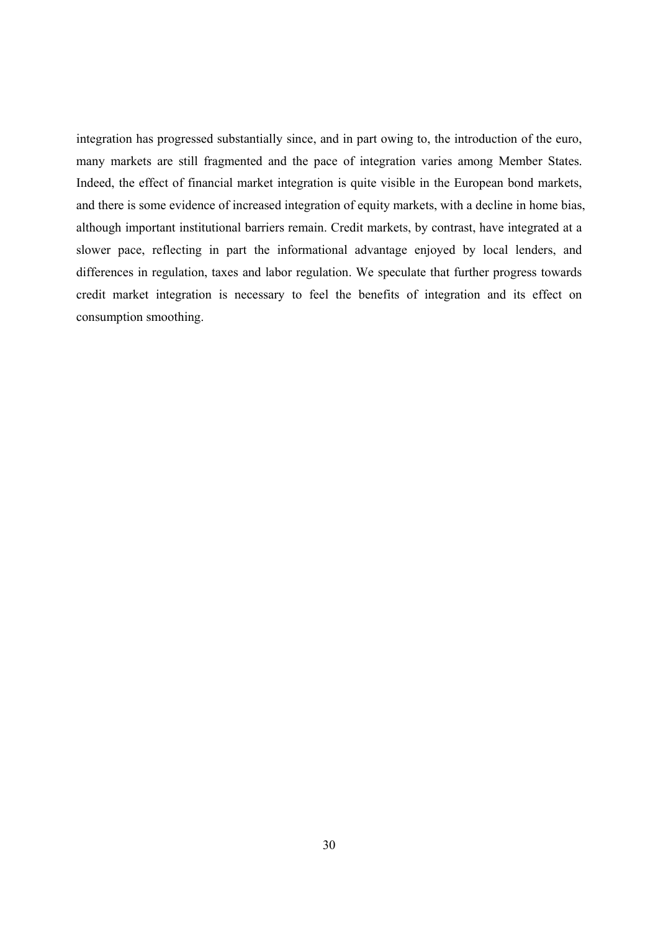integration has progressed substantially since, and in part owing to, the introduction of the euro, many markets are still fragmented and the pace of integration varies among Member States. Indeed, the effect of financial market integration is quite visible in the European bond markets, and there is some evidence of increased integration of equity markets, with a decline in home bias, although important institutional barriers remain. Credit markets, by contrast, have integrated at a slower pace, reflecting in part the informational advantage enjoyed by local lenders, and differences in regulation, taxes and labor regulation. We speculate that further progress towards credit market integration is necessary to feel the benefits of integration and its effect on consumption smoothing.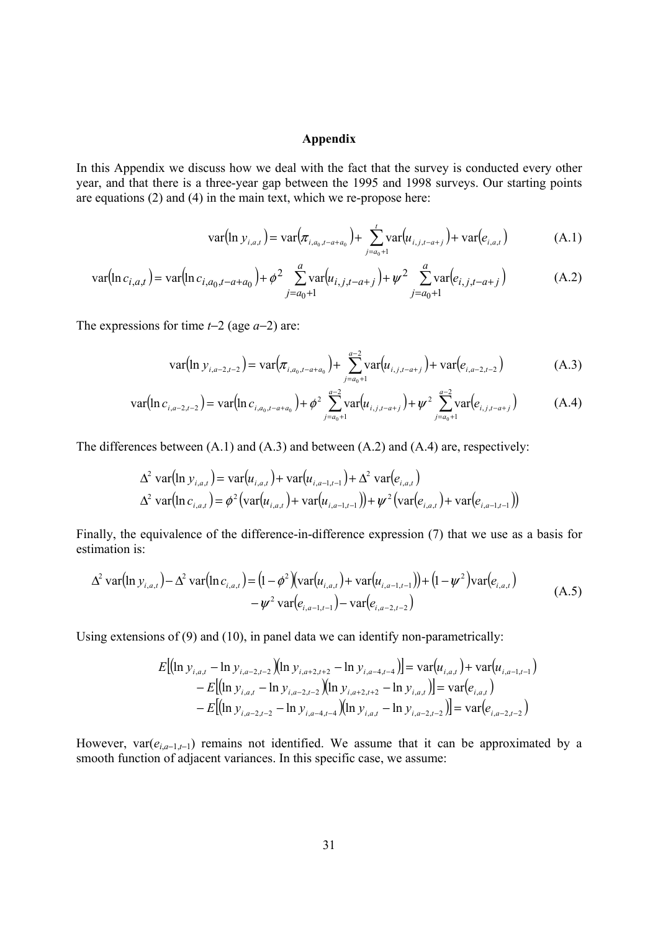### **Appendix**

In this Appendix we discuss how we deal with the fact that the survey is conducted every other year, and that there is a three-year gap between the 1995 and 1998 surveys. Our starting points are equations (2) and (4) in the main text, which we re-propose here:

$$
var(ln y_{i,a,t}) = var(\pi_{i,a_0,t-a+a_0}) + \sum_{j=a_0+1}^{t} var(u_{i,j,t-a+j}) + var(e_{i,a,t})
$$
\n(A.1)

$$
\text{var}(\ln c_{i,a,t}) = \text{var}(\ln c_{i,a_0,t-a+a_0}) + \phi^2 \sum_{j=a_0+1}^{a} \text{var}(u_{i,j,t-a+j}) + \psi^2 \sum_{j=a_0+1}^{a} \text{var}(e_{i,j,t-a+j})
$$
(A.2)

The expressions for time  $t-2$  (age  $a-2$ ) are:

$$
\text{var}(\ln y_{i,a-2,t-2}) = \text{var}(\pi_{i,a_0,t-a+a_0}) + \sum_{j=a_0+1}^{a-2} \text{var}(u_{i,j,t-a+j}) + \text{var}(e_{i,a-2,t-2})
$$
(A.3)

$$
\text{var}(\ln c_{i,a-2,t-2}) = \text{var}(\ln c_{i,a_0,t-a+a_0}) + \phi^2 \sum_{j=a_0+1}^{a-2} \text{var}(\mu_{i,j,t-a+j}) + \psi^2 \sum_{j=a_0+1}^{a-2} \text{var}(e_{i,j,t-a+j}) \tag{A.4}
$$

The differences between (A.1) and (A.3) and between (A.2) and (A.4) are, respectively:

$$
\Delta^2 \text{ var}(\ln y_{i,a,t}) = \text{var}(u_{i,a,t}) + \text{var}(u_{i,a-1,t-1}) + \Delta^2 \text{ var}(e_{i,a,t})
$$
  

$$
\Delta^2 \text{ var}(\ln c_{i,a,t}) = \phi^2 (\text{var}(u_{i,a,t}) + \text{var}(u_{i,a-1,t-1})) + \psi^2 (\text{var}(e_{i,a,t}) + \text{var}(e_{i,a-1,t-1}))
$$

Finally, the equivalence of the difference-in-difference expression (7) that we use as a basis for estimation is:

$$
\Delta^2 \operatorname{var}(\ln y_{i,a,t}) - \Delta^2 \operatorname{var}(\ln c_{i,a,t}) = (1 - \phi^2) \left( \operatorname{var}(u_{i,a,t}) + \operatorname{var}(u_{i,a-1,t-1}) \right) + (1 - \psi^2) \operatorname{var}(e_{i,a,t}) - \psi^2 \operatorname{var}(e_{i,a-1,t-1}) - \operatorname{var}(e_{i,a-2,t-2}) \tag{A.5}
$$

Using extensions of (9) and (10), in panel data we can identify non-parametrically:

$$
E[(\ln y_{i,a,t} - \ln y_{i,a-2,t-2})(\ln y_{i,a+2,t+2} - \ln y_{i,a-4,t-4})] = \text{var}(u_{i,a,t}) + \text{var}(u_{i,a-1,t-1})
$$
  
- 
$$
E[(\ln y_{i,a,t} - \ln y_{i,a-2,t-2})(\ln y_{i,a+2,t+2} - \ln y_{i,a,t})] = \text{var}(e_{i,a,t})
$$
  
- 
$$
E[(\ln y_{i,a-2,t-2} - \ln y_{i,a-4,t-4})(\ln y_{i,a,t} - \ln y_{i,a-2,t-2})] = \text{var}(e_{i,a-2,t-2})
$$

However,  $var(e_{i,a-1,t-1})$  remains not identified. We assume that it can be approximated by a smooth function of adjacent variances. In this specific case, we assume: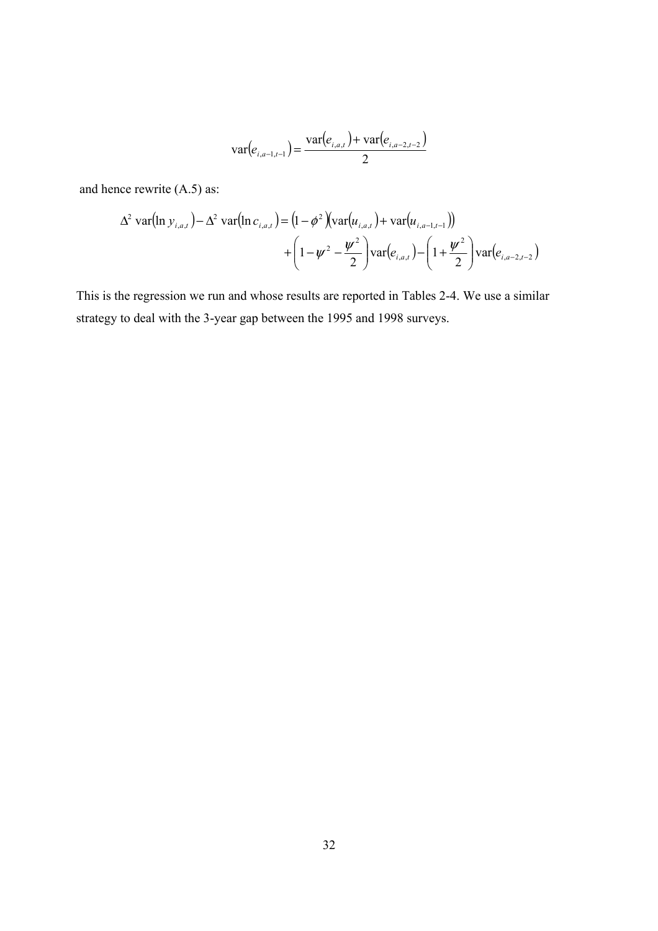$$
\text{var}(e_{i,a-1,t-1}) = \frac{\text{var}(e_{i,a,t}) + \text{var}(e_{i,a-2,t-2})}{2}
$$

and hence rewrite (A.5) as:

$$
\Delta^2 \text{ var}(\ln y_{i,a,t}) - \Delta^2 \text{ var}(\ln c_{i,a,t}) = (1 - \phi^2)(\text{var}(u_{i,a,t}) + \text{var}(u_{i,a-1,t-1})) + (1 - \psi^2 - \frac{\psi^2}{2})\text{var}(e_{i,a,t}) - (1 + \frac{\psi^2}{2})\text{var}(e_{i,a-2,t-2})
$$

This is the regression we run and whose results are reported in Tables 2-4. We use a similar strategy to deal with the 3-year gap between the 1995 and 1998 surveys.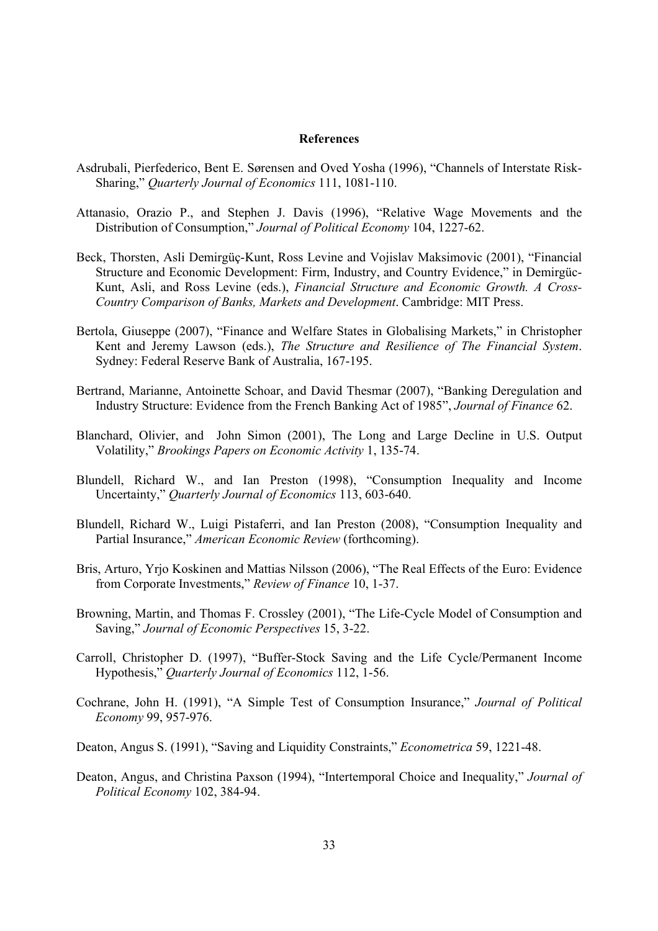#### **References**

- Asdrubali, Pierfederico, Bent E. Sørensen and Oved Yosha (1996), "Channels of Interstate Risk-Sharing," *Quarterly Journal of Economics* 111, 1081-110.
- Attanasio, Orazio P., and Stephen J. Davis (1996), "Relative Wage Movements and the Distribution of Consumption," *Journal of Political Economy* 104, 1227-62.
- Beck, Thorsten, Asli Demirgüç-Kunt, Ross Levine and Vojislav Maksimovic (2001), "Financial Structure and Economic Development: Firm, Industry, and Country Evidence," in Demirgüc-Kunt, Asli, and Ross Levine (eds.), *Financial Structure and Economic Growth. A Cross-Country Comparison of Banks, Markets and Development*. Cambridge: MIT Press.
- Bertola, Giuseppe (2007), "Finance and Welfare States in Globalising Markets," in Christopher Kent and Jeremy Lawson (eds.), *The Structure and Resilience of The Financial System*. Sydney: Federal Reserve Bank of Australia, 167-195.
- Bertrand, Marianne, Antoinette Schoar, and David Thesmar (2007), "Banking Deregulation and Industry Structure: Evidence from the French Banking Act of 1985", *Journal of Finance* 62.
- Blanchard, Olivier, and John Simon (2001), The Long and Large Decline in U.S. Output Volatility," *Brookings Papers on Economic Activity* 1, 135-74.
- Blundell, Richard W., and Ian Preston (1998), "Consumption Inequality and Income Uncertainty," *Quarterly Journal of Economics* 113, 603-640.
- Blundell, Richard W., Luigi Pistaferri, and Ian Preston (2008), "Consumption Inequality and Partial Insurance," *American Economic Review* (forthcoming).
- Bris, Arturo, Yrjo Koskinen and Mattias Nilsson (2006), "The Real Effects of the Euro: Evidence from Corporate Investments," *Review of Finance* 10, 1-37.
- Browning, Martin, and Thomas F. Crossley (2001), "The Life-Cycle Model of Consumption and Saving," *Journal of Economic Perspectives* 15, 3-22.
- Carroll, Christopher D. (1997), "Buffer-Stock Saving and the Life Cycle/Permanent Income Hypothesis," *Quarterly Journal of Economics* 112, 1-56.
- Cochrane, John H. (1991), "A Simple Test of Consumption Insurance," *Journal of Political Economy* 99, 957-976.
- Deaton, Angus S. (1991), "Saving and Liquidity Constraints," *Econometrica* 59, 1221-48.
- Deaton, Angus, and Christina Paxson (1994), "Intertemporal Choice and Inequality," *Journal of Political Economy* 102, 384-94.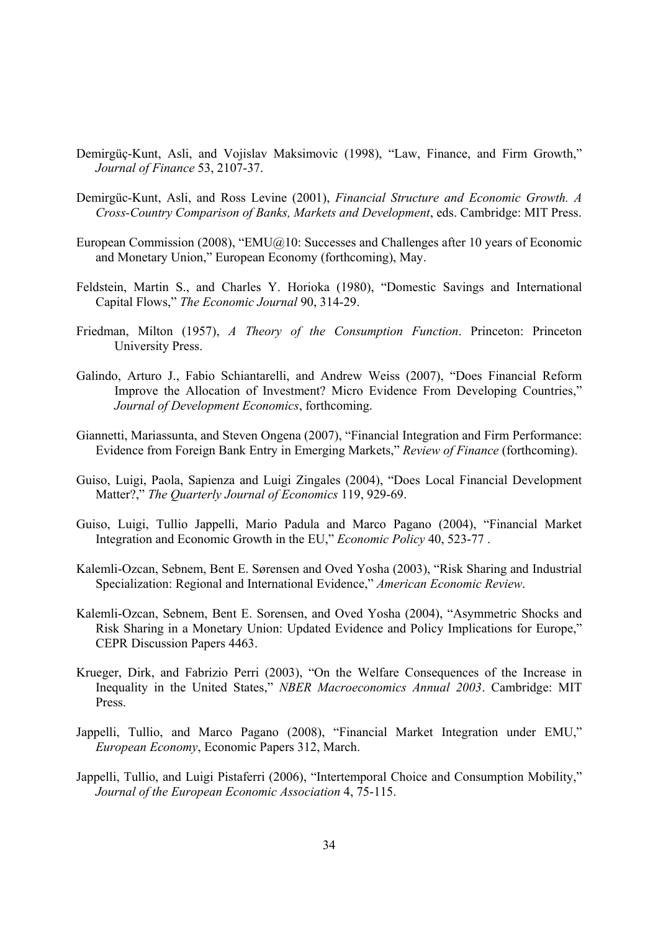- Demirgüç-Kunt, Asli, and Vojislav Maksimovic (1998), "Law, Finance, and Firm Growth," *Journal of Finance* 53, 2107-37.
- Demirgüc-Kunt, Asli, and Ross Levine (2001), *Financial Structure and Economic Growth. A Cross-Country Comparison of Banks, Markets and Development*, eds. Cambridge: MIT Press.
- European Commission (2008), "EMU@10: Successes and Challenges after 10 years of Economic and Monetary Union," European Economy (forthcoming), May.
- Feldstein, Martin S., and Charles Y. Horioka (1980), "Domestic Savings and International Capital Flows," *The Economic Journal* 90, 314-29.
- Friedman, Milton (1957), *A Theory of the Consumption Function*. Princeton: Princeton University Press.
- Galindo, Arturo J., Fabio Schiantarelli, and Andrew Weiss (2007), "Does Financial Reform Improve the Allocation of Investment? Micro Evidence From Developing Countries," *Journal of Development Economics*, forthcoming.
- Giannetti, Mariassunta, and Steven Ongena (2007), "Financial Integration and Firm Performance: Evidence from Foreign Bank Entry in Emerging Markets," *Review of Finance* (forthcoming).
- Guiso, Luigi, Paola, Sapienza and Luigi Zingales (2004), "Does Local Financial Development Matter?," *The Quarterly Journal of Economics* 119, 929-69.
- Guiso, Luigi, Tullio Jappelli, Mario Padula and Marco Pagano (2004), "Financial Market Integration and Economic Growth in the EU," *Economic Policy* 40, 523-77 .
- Kalemli-Ozcan, Sebnem, Bent E. Sørensen and Oved Yosha (2003), "Risk Sharing and Industrial Specialization: Regional and International Evidence," *American Economic Review*.
- Kalemli-Ozcan, Sebnem, Bent E. Sorensen, and Oved Yosha (2004), "Asymmetric Shocks and Risk Sharing in a Monetary Union: Updated Evidence and Policy Implications for Europe," CEPR Discussion Papers 4463.
- Krueger, Dirk, and Fabrizio Perri (2003), "On the Welfare Consequences of the Increase in Inequality in the United States," *NBER Macroeconomics Annual 2003*. Cambridge: MIT Press.
- Jappelli, Tullio, and Marco Pagano (2008), "Financial Market Integration under EMU," *European Economy*, Economic Papers 312, March.
- Jappelli, Tullio, and Luigi Pistaferri (2006), "Intertemporal Choice and Consumption Mobility," *Journal of the European Economic Association* 4, 75-115.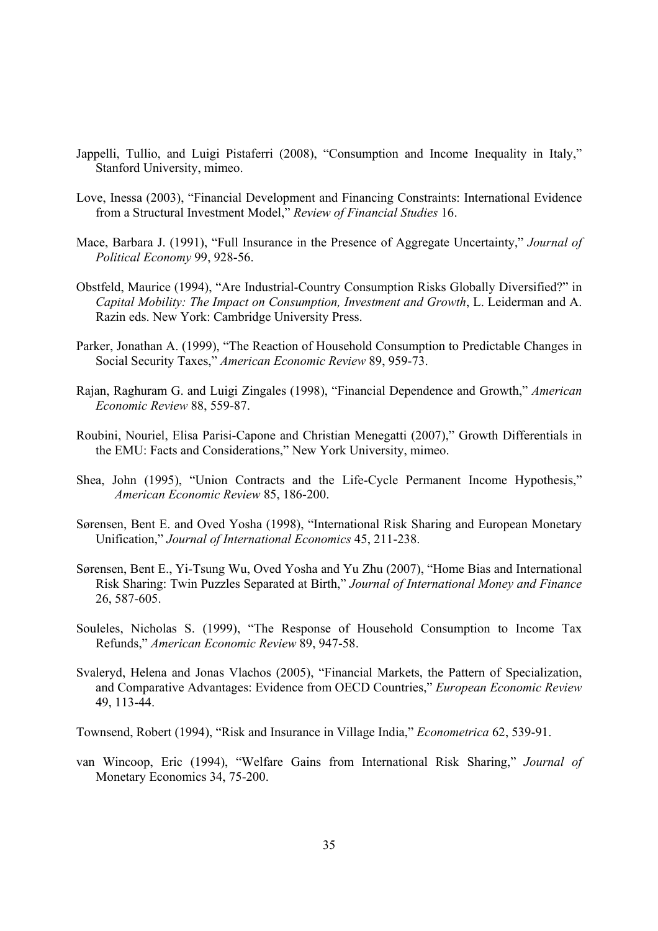- Jappelli, Tullio, and Luigi Pistaferri (2008), "Consumption and Income Inequality in Italy," Stanford University, mimeo.
- Love, Inessa (2003), "Financial Development and Financing Constraints: International Evidence from a Structural Investment Model," *Review of Financial Studies* 16.
- Mace, Barbara J. (1991), "Full Insurance in the Presence of Aggregate Uncertainty," *Journal of Political Economy* 99, 928-56.
- Obstfeld, Maurice (1994), "Are Industrial-Country Consumption Risks Globally Diversified?" in *Capital Mobility: The Impact on Consumption, Investment and Growth*, L. Leiderman and A. Razin eds. New York: Cambridge University Press.
- Parker, Jonathan A. (1999), "The Reaction of Household Consumption to Predictable Changes in Social Security Taxes," *American Economic Review* 89, 959-73.
- Rajan, Raghuram G. and Luigi Zingales (1998), "Financial Dependence and Growth," *American Economic Review* 88, 559-87.
- Roubini, Nouriel, Elisa Parisi-Capone and Christian Menegatti (2007)," Growth Differentials in the EMU: Facts and Considerations," New York University, mimeo.
- Shea, John (1995), "Union Contracts and the Life-Cycle Permanent Income Hypothesis," *American Economic Review* 85, 186-200.
- Sørensen, Bent E. and Oved Yosha (1998), "International Risk Sharing and European Monetary Unification," *Journal of International Economics* 45, 211-238.
- Sørensen, Bent E., Yi-Tsung Wu, Oved Yosha and Yu Zhu (2007), "Home Bias and International Risk Sharing: Twin Puzzles Separated at Birth," *Journal of International Money and Finance* 26, 587-605.
- Souleles, Nicholas S. (1999), "The Response of Household Consumption to Income Tax Refunds," *American Economic Review* 89, 947-58.
- Svaleryd, Helena and Jonas Vlachos (2005), "Financial Markets, the Pattern of Specialization, and Comparative Advantages: Evidence from OECD Countries," *European Economic Review*  49, 113-44.

Townsend, Robert (1994), "Risk and Insurance in Village India," *Econometrica* 62, 539-91.

van Wincoop, Eric (1994), "Welfare Gains from International Risk Sharing," *Journal of*  Monetary Economics 34, 75-200.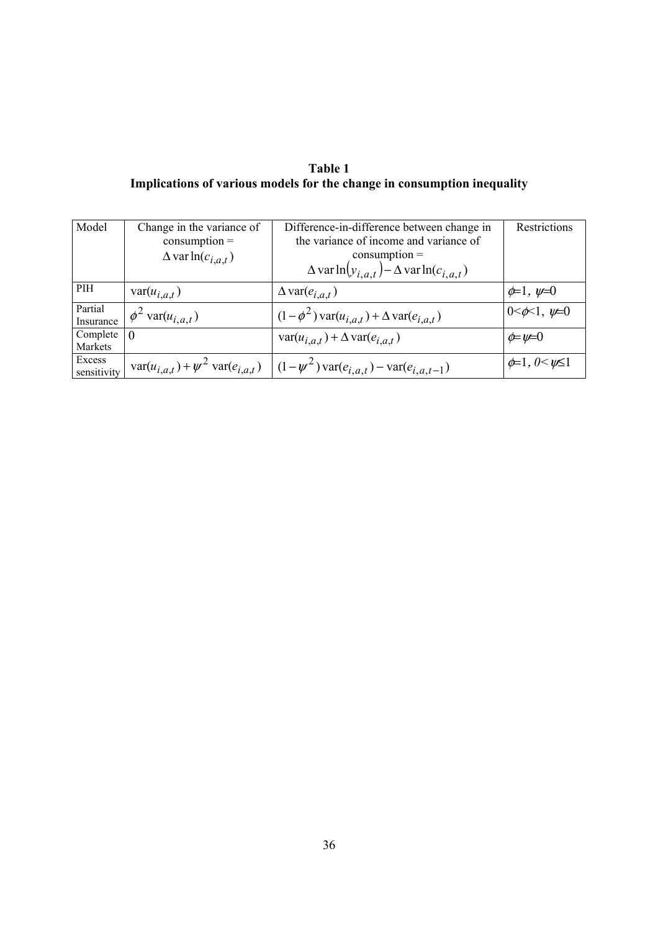**Table 1 Implications of various models for the change in consumption inequality** 

| Model       | Change in the variance of      | Difference-in-difference between change in                                                                                        | Restrictions                 |
|-------------|--------------------------------|-----------------------------------------------------------------------------------------------------------------------------------|------------------------------|
|             | $consumption =$                | the variance of income and variance of                                                                                            |                              |
|             | $\Delta$ var ln( $c_{i,a,t}$ ) | $consumption =$                                                                                                                   |                              |
|             |                                | $\Delta$ var ln $(y_{i,a,t}) - \Delta$ var ln $(c_{i,a,t})$                                                                       |                              |
| PIH         | $var(u_{i,a,t})$               | $\Delta \text{var}(e_{i,a,t})$                                                                                                    | $\phi=1, \psi=0$             |
| Partial     | $\phi^2$ var $(u_{i,a,t})$     | $(1-\phi^2) \text{var}(u_{i,a,t}) + \Delta \text{var}(e_{i,a,t})$                                                                 | $0 < \phi < 1, \psi = 0$     |
| Insurance   |                                |                                                                                                                                   |                              |
| Complete    | $\theta$                       | $\text{var}(u_{i,a,t}) + \Delta \text{var}(e_{i,a,t})$                                                                            | $\phi = \psi = 0$            |
| Markets     |                                |                                                                                                                                   |                              |
| Excess      |                                |                                                                                                                                   | $\phi=1, 0 \leq \psi \leq 1$ |
| sensitivity |                                | $\text{var}(u_{i,a,t}) + \psi^2 \text{var}(e_{i,a,t}) \quad   \quad (1 - \psi^2) \text{var}(e_{i,a,t}) - \text{var}(e_{i,a,t-1})$ |                              |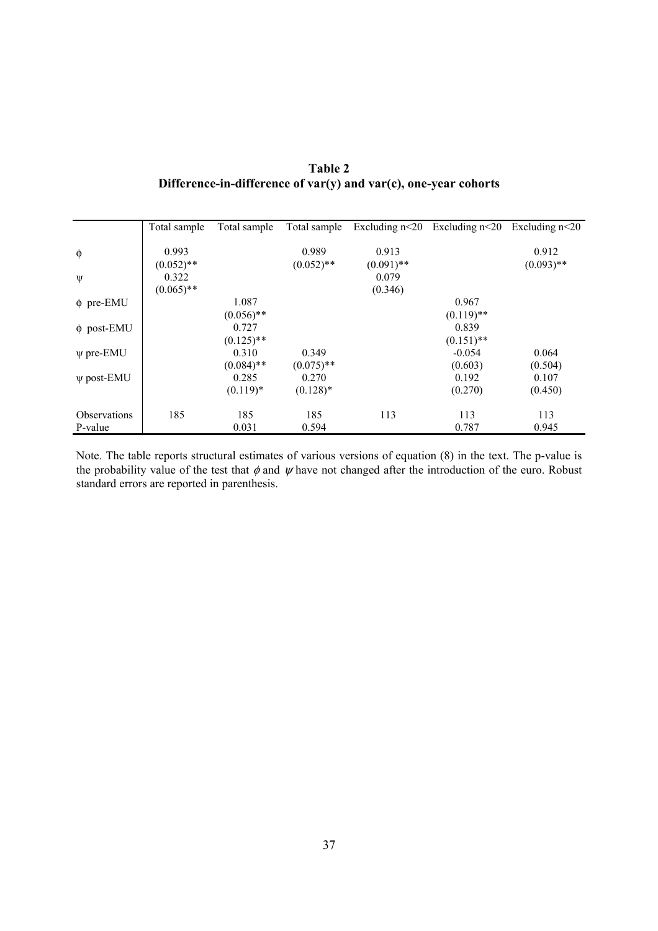| <b>Table 2</b>                                                       |
|----------------------------------------------------------------------|
| Difference-in-difference of $var(y)$ and $var(c)$ , one-year cohorts |

|                     | Total sample | Total sample | Total sample | Excluding $n<20$ | Excluding $n<20$ | Excluding $n<20$ |
|---------------------|--------------|--------------|--------------|------------------|------------------|------------------|
|                     |              |              |              |                  |                  |                  |
| $\phi$              | 0.993        |              | 0.989        | 0.913            |                  | 0.912            |
|                     | $(0.052)$ ** |              | $(0.052)$ ** | $(0.091)$ **     |                  | $(0.093)$ **     |
| Ψ                   | 0.322        |              |              | 0.079            |                  |                  |
|                     | $(0.065)$ ** |              |              | (0.346)          |                  |                  |
| $\phi$ pre-EMU      |              | 1.087        |              |                  | 0.967            |                  |
|                     |              | $(0.056)$ ** |              |                  | $(0.119)$ **     |                  |
| $\phi$ post-EMU     |              | 0.727        |              |                  | 0.839            |                  |
|                     |              | $(0.125)$ ** |              |                  | $(0.151)$ **     |                  |
| $\psi$ pre-EMU      |              | 0.310        | 0.349        |                  | $-0.054$         | 0.064            |
|                     |              | $(0.084)$ ** | $(0.075)$ ** |                  | (0.603)          | (0.504)          |
| $\psi$ post-EMU     |              | 0.285        | 0.270        |                  | 0.192            | 0.107            |
|                     |              | $(0.119)*$   | $(0.128)$ *  |                  | (0.270)          | (0.450)          |
| <b>Observations</b> | 185          | 185          | 185          | 113              | 113              | 113              |
| P-value             |              | 0.031        | 0.594        |                  | 0.787            | 0.945            |
|                     |              |              |              |                  |                  |                  |

Note. The table reports structural estimates of various versions of equation (8) in the text. The p-value is the probability value of the test that  $\phi$  and  $\psi$  have not changed after the introduction of the euro. Robust standard errors are reported in parenthesis.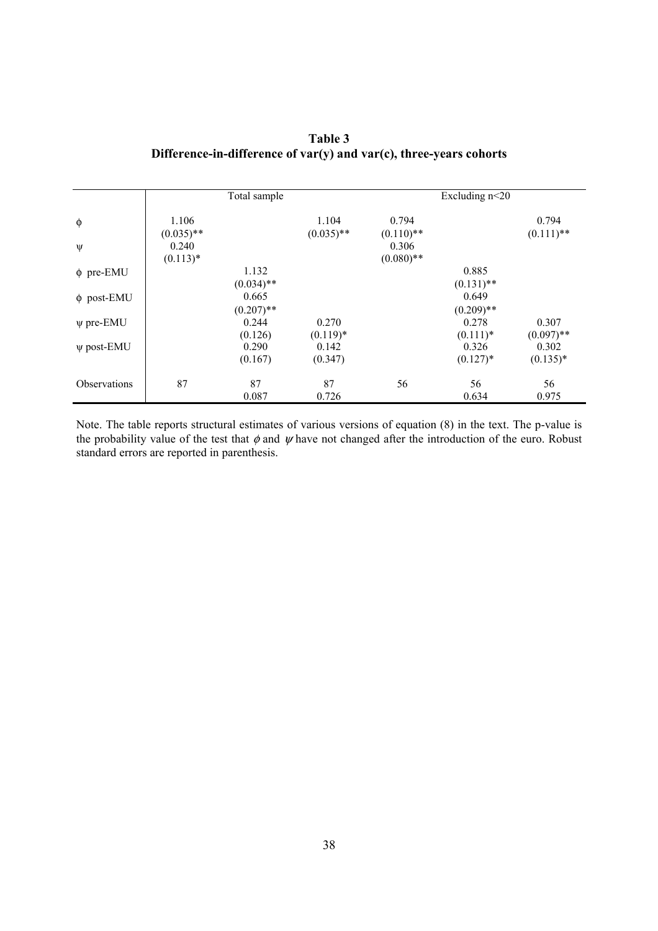| Table 3                                                                 |
|-------------------------------------------------------------------------|
| Difference-in-difference of $var(y)$ and $var(c)$ , three-years cohorts |

|                 |                       | Total sample |              |                       | Excluding $n<20$ |              |
|-----------------|-----------------------|--------------|--------------|-----------------------|------------------|--------------|
| $\phi$          | 1.106                 |              | 1.104        | 0.794                 |                  | 0.794        |
| ψ               | $(0.035)$ **<br>0.240 |              | $(0.035)$ ** | $(0.110)$ **<br>0.306 |                  | $(0.111)$ ** |
|                 | $(0.113)*$            |              |              | $(0.080)$ **          |                  |              |
| $\phi$ pre-EMU  |                       | 1.132        |              |                       | 0.885            |              |
|                 |                       | $(0.034)$ ** |              |                       | $(0.131)$ **     |              |
| $\phi$ post-EMU |                       | 0.665        |              |                       | 0.649            |              |
|                 |                       | $(0.207)$ ** |              |                       | $(0.209)$ **     |              |
| $\psi$ pre-EMU  |                       | 0.244        | 0.270        |                       | 0.278            | 0.307        |
|                 |                       | (0.126)      | $(0.119)*$   |                       | $(0.111)*$       | $(0.097)$ ** |
| $\psi$ post-EMU |                       | 0.290        | 0.142        |                       | 0.326            | 0.302        |
|                 |                       | (0.167)      | (0.347)      |                       | $(0.127)$ *      | $(0.135)*$   |
| Observations    | 87                    | 87           | 87           | 56                    | 56               | 56           |
|                 |                       | 0.087        | 0.726        |                       | 0.634            | 0.975        |

Note. The table reports structural estimates of various versions of equation (8) in the text. The p-value is the probability value of the test that  $\phi$  and  $\psi$  have not changed after the introduction of the euro. Robust standard errors are reported in parenthesis.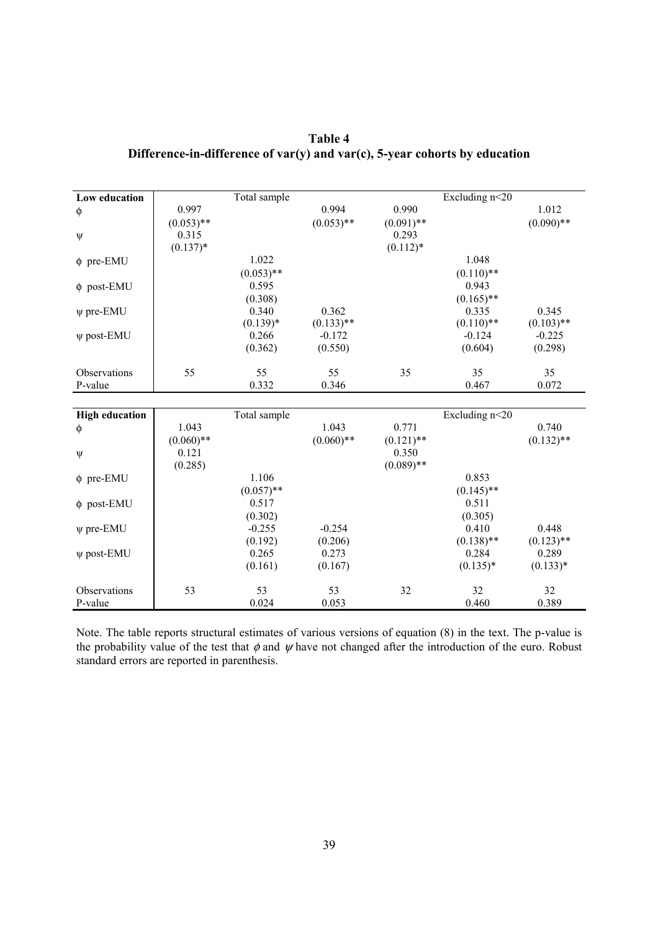| Low education         |              | Total sample |              |              | Excluding n<20        |              |
|-----------------------|--------------|--------------|--------------|--------------|-----------------------|--------------|
| φ                     | 0.997        |              | 0.994        | 0.990        |                       | 1.012        |
|                       | $(0.053)$ ** |              | $(0.053)$ ** | $(0.091)$ ** |                       | $(0.090)$ ** |
| $\Psi$                | 0.315        |              |              | 0.293        |                       |              |
|                       | $(0.137)*$   |              |              | $(0.112)*$   |                       |              |
| $\phi$ pre-EMU        |              | 1.022        |              |              | 1.048                 |              |
|                       |              | $(0.053)$ ** |              |              | $(0.110)$ **          |              |
| $\phi$ post-EMU       |              | 0.595        |              |              | 0.943                 |              |
|                       |              | (0.308)      |              |              | $(0.165)$ **          |              |
| $\psi$ pre-EMU        |              | 0.340        | 0.362        |              | 0.335                 | 0.345        |
|                       |              | $(0.139)*$   | $(0.133)$ ** |              | $(0.110)$ **          | $(0.103)$ ** |
| $\psi$ post-EMU       |              | 0.266        | $-0.172$     |              | $-0.124$              | $-0.225$     |
|                       |              | (0.362)      | (0.550)      |              | (0.604)               | (0.298)      |
|                       |              |              |              |              |                       |              |
| Observations          | 55           | 55           | 55           | 35           | 35                    | 35           |
| P-value               |              | 0.332        | 0.346        |              | 0.467                 | 0.072        |
|                       |              |              |              |              |                       |              |
| <b>High education</b> |              | Total sample |              |              | Excluding n<20        |              |
| φ                     | 1.043        |              | 1.043        | 0.771        |                       | 0.740        |
|                       | $(0.060)$ ** |              | $(0.060)**$  | $(0.121)$ ** |                       | $(0.132)$ ** |
| $\Psi$                | 0.121        |              |              | 0.350        |                       |              |
|                       |              |              |              |              |                       |              |
|                       | (0.285)      |              |              | $(0.089)$ ** |                       |              |
| $\phi$ pre-EMU        |              | 1.106        |              |              | 0.853                 |              |
|                       |              | $(0.057)$ ** |              |              | $(0.145)$ **          |              |
| $\phi$ post-EMU       |              | 0.517        |              |              | 0.511                 |              |
|                       |              | (0.302)      |              |              | (0.305)               |              |
| $\psi$ pre-EMU        |              | $-0.255$     | $-0.254$     |              | 0.410                 | 0.448        |
|                       |              | (0.192)      | (0.206)      |              |                       | $(0.123)$ ** |
| $\psi$ post-EMU       |              | 0.265        | 0.273        |              | $(0.138)$ **<br>0.284 | 0.289        |
|                       |              | (0.161)      | (0.167)      |              | $(0.135)*$            | $(0.133)*$   |
| Observations          | 53           | 53           | 53           | 32           | 32                    | 32           |

**Table 4 Difference-in-difference of var(y) and var(c), 5-year cohorts by education** 

Note. The table reports structural estimates of various versions of equation (8) in the text. The p-value is the probability value of the test that  $\phi$  and  $\psi$  have not changed after the introduction of the euro. Robust standard errors are reported in parenthesis.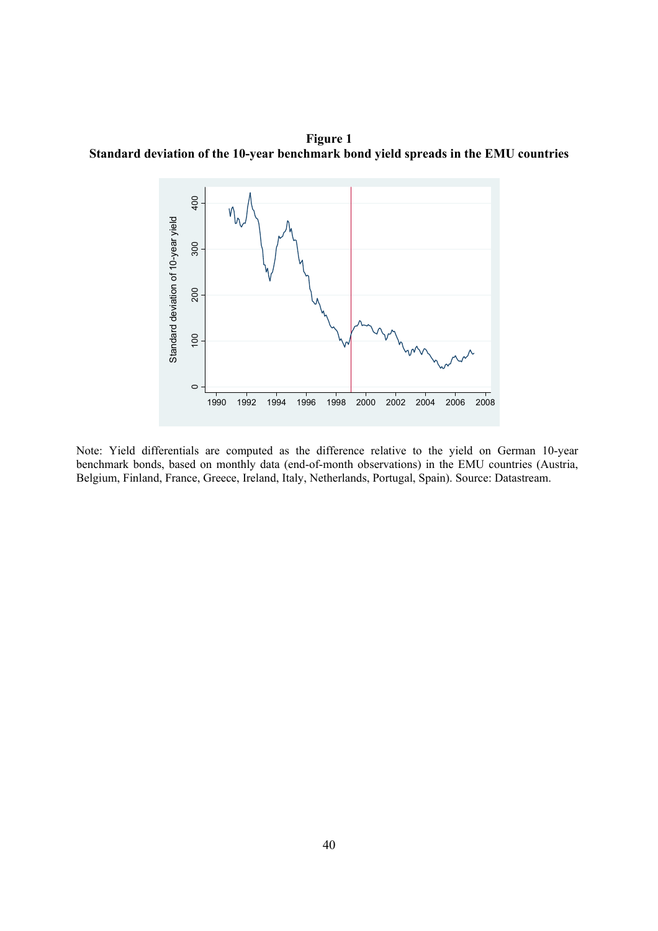**Figure 1 Standard deviation of the 10-year benchmark bond yield spreads in the EMU countries** 



Note: Yield differentials are computed as the difference relative to the yield on German 10-year benchmark bonds, based on monthly data (end-of-month observations) in the EMU countries (Austria, Belgium, Finland, France, Greece, Ireland, Italy, Netherlands, Portugal, Spain). Source: Datastream.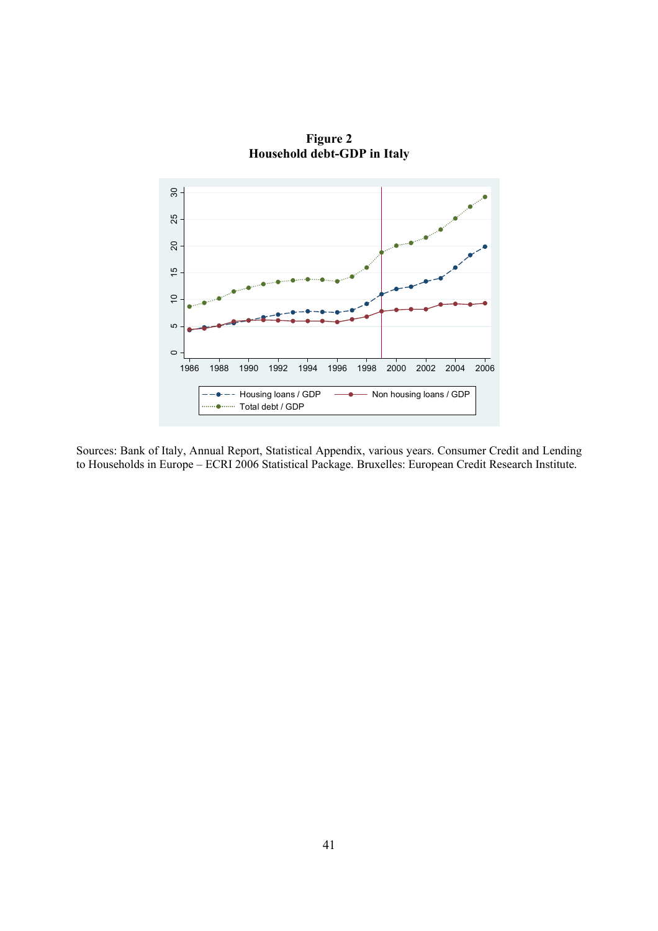

**Figure 2 Household debt-GDP in Italy** 

Sources: Bank of Italy, Annual Report, Statistical Appendix, various years. Consumer Credit and Lending to Households in Europe – ECRI 2006 Statistical Package. Bruxelles: European Credit Research Institute.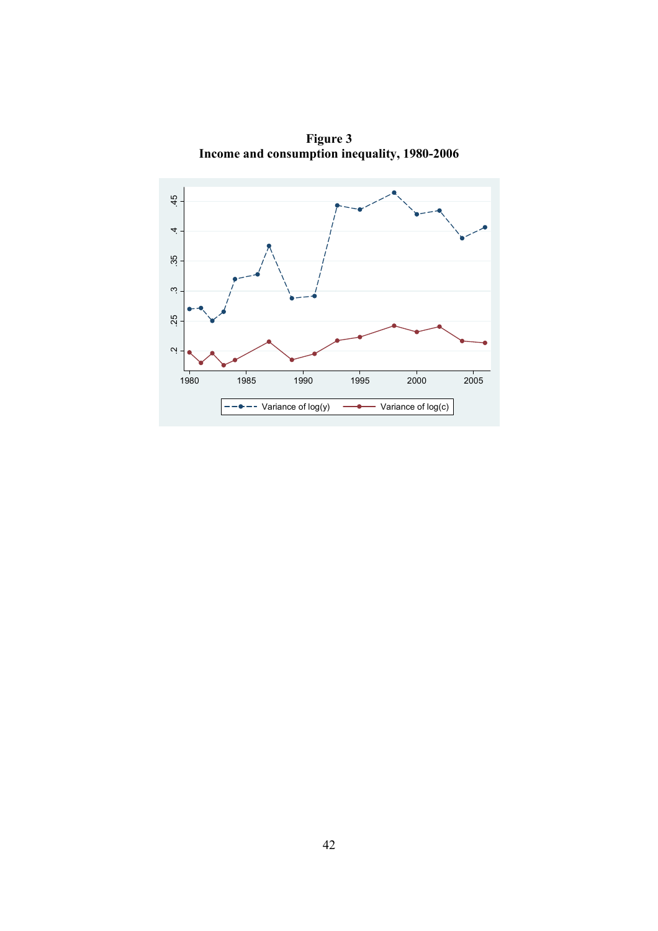

**Figure 3 Income and consumption inequality, 1980-2006**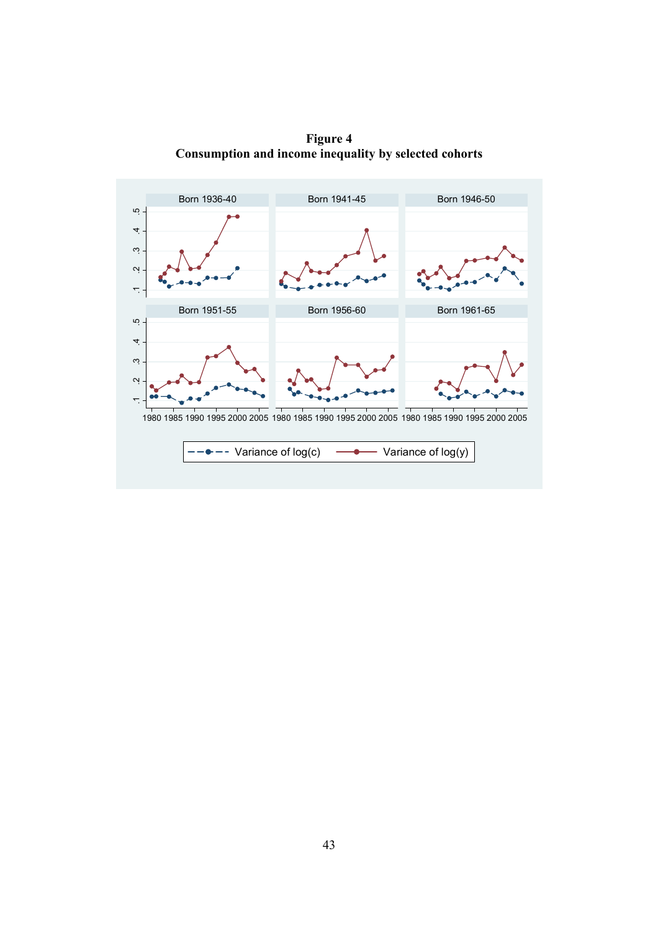**Figure 4 Consumption and income inequality by selected cohorts** 

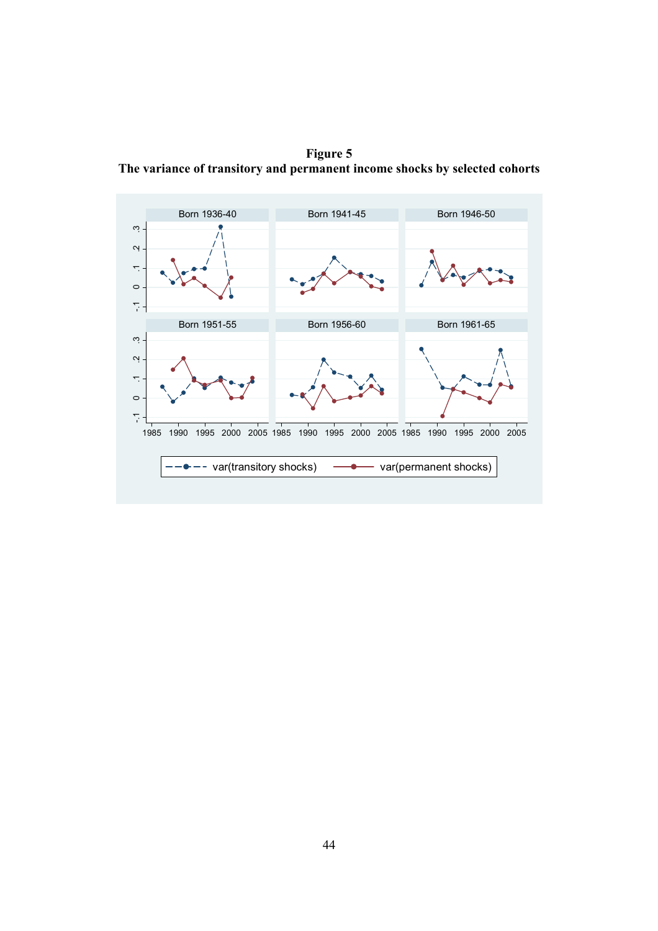**Figure 5 The variance of transitory and permanent income shocks by selected cohorts**